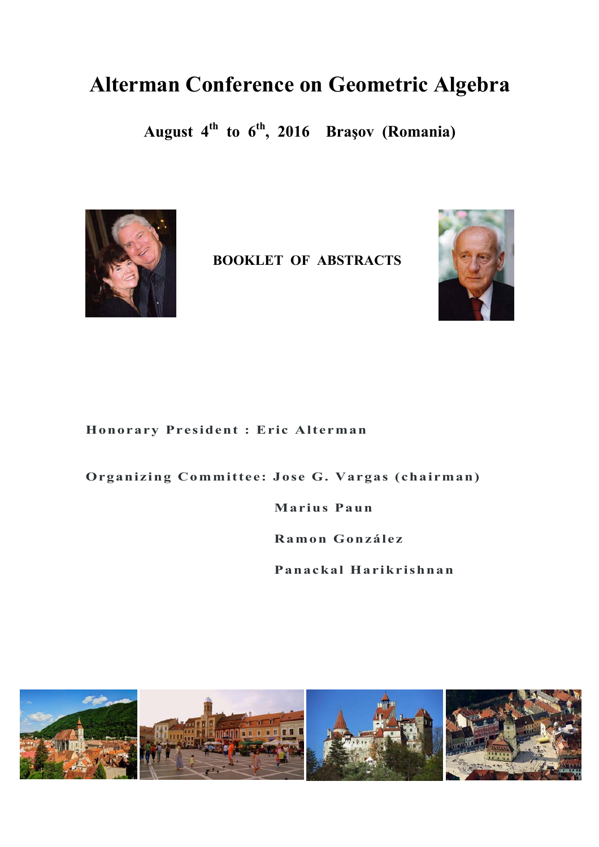## **Alterman Conference on Geometric Algebra**

**August 4th to 6th, 2016 Braşov (Romania)** 



**BOOKLET OF ABSTRACTS** 



**Honorary President : Eric Alterman** 

**Organizing Committee: Jose G. Vargas (chairman)** 

 **Marius Paun** 

 **Ramon González** 

 **Panackal Harikrishnan** 

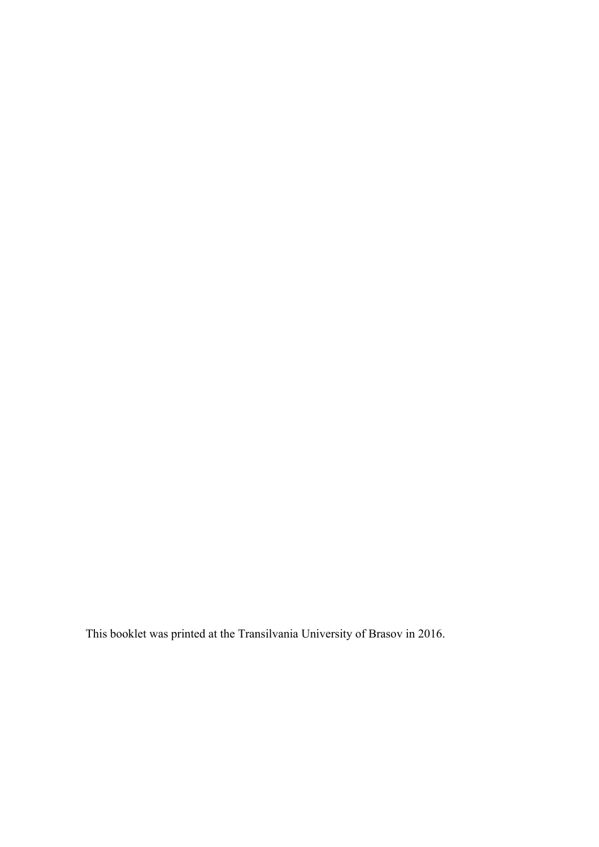This booklet was printed at the Transilvania University of Brasov in 2016.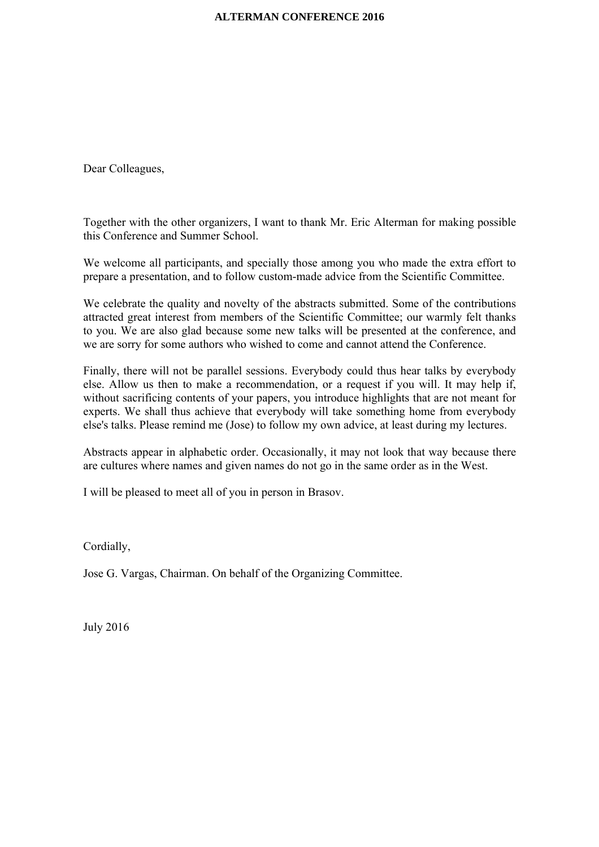Dear Colleagues,

Together with the other organizers, I want to thank Mr. Eric Alterman for making possible this Conference and Summer School.

We welcome all participants, and specially those among you who made the extra effort to prepare a presentation, and to follow custom-made advice from the Scientific Committee.

We celebrate the quality and novelty of the abstracts submitted. Some of the contributions attracted great interest from members of the Scientific Committee; our warmly felt thanks to you. We are also glad because some new talks will be presented at the conference, and we are sorry for some authors who wished to come and cannot attend the Conference.

Finally, there will not be parallel sessions. Everybody could thus hear talks by everybody else. Allow us then to make a recommendation, or a request if you will. It may help if, without sacrificing contents of your papers, you introduce highlights that are not meant for experts. We shall thus achieve that everybody will take something home from everybody else's talks. Please remind me (Jose) to follow my own advice, at least during my lectures.

Abstracts appear in alphabetic order. Occasionally, it may not look that way because there are cultures where names and given names do not go in the same order as in the West.

I will be pleased to meet all of you in person in Brasov.

Cordially,

Jose G. Vargas, Chairman. On behalf of the Organizing Committee.

July 2016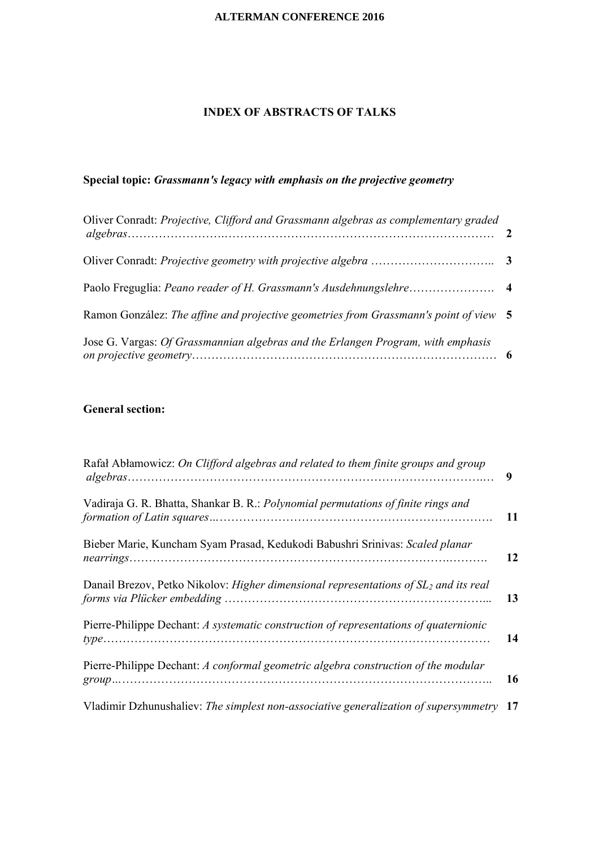## **INDEX OF ABSTRACTS OF TALKS**

## **Special topic:** *Grassmann's legacy with emphasis on the projective geometry*

| Oliver Conradt: Projective, Clifford and Grassmann algebras as complementary graded   |  |
|---------------------------------------------------------------------------------------|--|
|                                                                                       |  |
|                                                                                       |  |
| Ramon González: The affine and projective geometries from Grassmann's point of view 5 |  |
| Jose G. Vargas: Of Grassmannian algebras and the Erlangen Program, with emphasis      |  |

## **General section:**

| Rafał Abłamowicz: On Clifford algebras and related to them finite groups and group               | 9         |
|--------------------------------------------------------------------------------------------------|-----------|
| Vadiraja G. R. Bhatta, Shankar B. R.: Polynomial permutations of finite rings and                | <b>11</b> |
| Bieber Marie, Kuncham Syam Prasad, Kedukodi Babushri Srinivas: Scaled planar                     | 12        |
| Danail Brezov, Petko Nikolov: Higher dimensional representations of SL <sub>2</sub> and its real | 13        |
| Pierre-Philippe Dechant: A systematic construction of representations of quaternionic            | 14        |
| Pierre-Philippe Dechant: A conformal geometric algebra construction of the modular               | 16        |
| Vladimir Dzhunushaliev: The simplest non-associative generalization of supersymmetry 17          |           |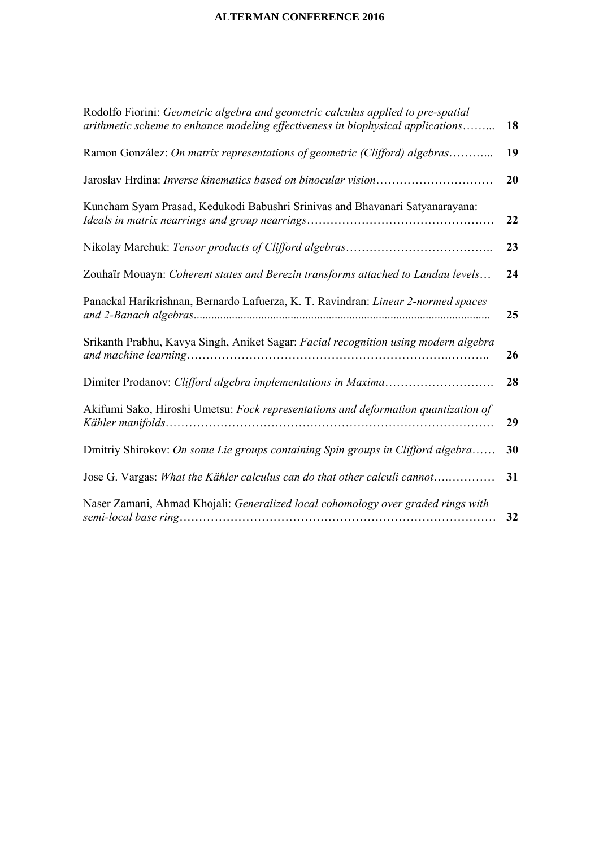| Rodolfo Fiorini: Geometric algebra and geometric calculus applied to pre-spatial<br>arithmetic scheme to enhance modeling effectiveness in biophysical applications | 18 |
|---------------------------------------------------------------------------------------------------------------------------------------------------------------------|----|
| Ramon González: On matrix representations of geometric (Clifford) algebras                                                                                          | 19 |
|                                                                                                                                                                     | 20 |
| Kuncham Syam Prasad, Kedukodi Babushri Srinivas and Bhavanari Satyanarayana:                                                                                        | 22 |
|                                                                                                                                                                     | 23 |
| Zouhaïr Mouayn: Coherent states and Berezin transforms attached to Landau levels                                                                                    | 24 |
| Panackal Harikrishnan, Bernardo Lafuerza, K. T. Ravindran: Linear 2-normed spaces                                                                                   | 25 |
| Srikanth Prabhu, Kavya Singh, Aniket Sagar: Facial recognition using modern algebra                                                                                 | 26 |
|                                                                                                                                                                     | 28 |
| Akifumi Sako, Hiroshi Umetsu: Fock representations and deformation quantization of                                                                                  | 29 |
| Dmitriy Shirokov: On some Lie groups containing Spin groups in Clifford algebra                                                                                     | 30 |
| Jose G. Vargas: What the Kähler calculus can do that other calculi cannot                                                                                           | 31 |
| Naser Zamani, Ahmad Khojali: Generalized local cohomology over graded rings with                                                                                    | 32 |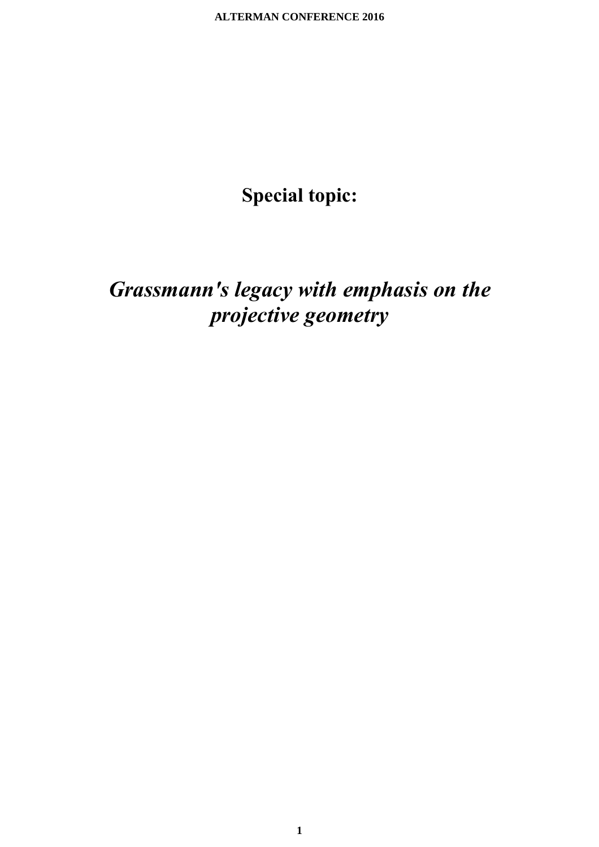# **Special topic:**

# *Grassmann's legacy with emphasis on the projective geometry*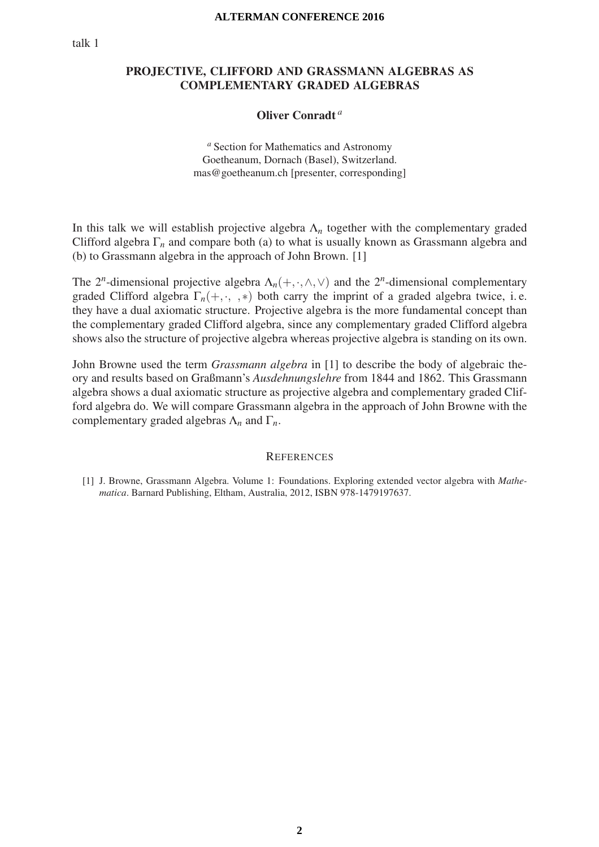## PROJECTIVE, CLIFFORD AND GRASSMANN ALGEBRAS AS COMPLEMENTARY GRADED ALGEBRAS

## Oliver Conradt *a*

*<sup>a</sup>* Section for Mathematics and Astronomy Goetheanum, Dornach (Basel), Switzerland. mas@goetheanum.ch [presenter, corresponding]

In this talk we will establish projective algebra Λ*<sup>n</sup>* together with the complementary graded Clifford algebra  $\Gamma_n$  and compare both (a) to what is usually known as Grassmann algebra and (b) to Grassmann algebra in the approach of John Brown. [1]

The  $2^n$ -dimensional projective algebra  $\Lambda_n(+, \cdot, \wedge, \vee)$  and the  $2^n$ -dimensional complementary graded Clifford algebra  $\Gamma_n$ (+, ·, , \*) both carry the imprint of a graded algebra twice, i.e. they have a dual axiomatic structure. Projective algebra is the more fundamental concept than the complementary graded Clifford algebra, since any complementary graded Clifford algebra shows also the structure of projective algebra whereas projective algebra is standing on its own.

John Browne used the term *Grassmann algebra* in [1] to describe the body of algebraic theory and results based on Graßmann's *Ausdehnungslehre* from 1844 and 1862. This Grassmann algebra shows a dual axiomatic structure as projective algebra and complementary graded Clifford algebra do. We will compare Grassmann algebra in the approach of John Browne with the complementary graded algebras Λ*<sup>n</sup>* and Γ*n*.

#### **REFERENCES**

[1] J. Browne, Grassmann Algebra. Volume 1: Foundations. Exploring extended vector algebra with *Mathematica*. Barnard Publishing, Eltham, Australia, 2012, ISBN 978-1479197637.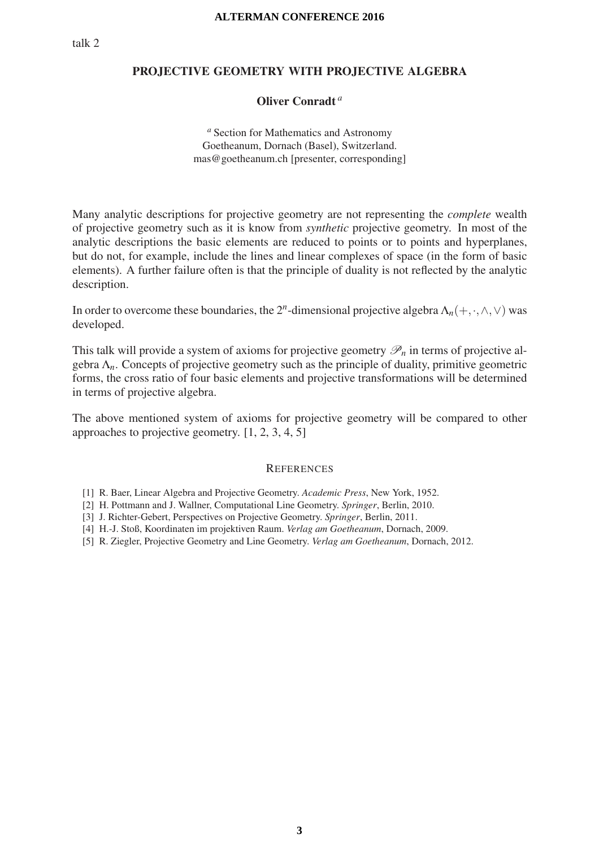## PROJECTIVE GEOMETRY WITH PROJECTIVE ALGEBRA

## Oliver Conradt *a*

*<sup>a</sup>* Section for Mathematics and Astronomy Goetheanum, Dornach (Basel), Switzerland. mas@goetheanum.ch [presenter, corresponding]

Many analytic descriptions for projective geometry are not representing the *complete* wealth of projective geometry such as it is know from *synthetic* projective geometry. In most of the analytic descriptions the basic elements are reduced to points or to points and hyperplanes, but do not, for example, include the lines and linear complexes of space (in the form of basic elements). A further failure often is that the principle of duality is not reflected by the analytic description.

In order to overcome these boundaries, the  $2^n$ -dimensional projective algebra  $\Lambda_n(+, \cdot, \wedge, \vee)$  was developed.

This talk will provide a system of axioms for projective geometry  $\mathcal{P}_n$  in terms of projective algebra Λ*n*. Concepts of projective geometry such as the principle of duality, primitive geometric forms, the cross ratio of four basic elements and projective transformations will be determined in terms of projective algebra.

The above mentioned system of axioms for projective geometry will be compared to other approaches to projective geometry. [1, 2, 3, 4, 5]

- [2] H. Pottmann and J. Wallner, Computational Line Geometry. *Springer*, Berlin, 2010.
- [3] J. Richter-Gebert, Perspectives on Projective Geometry. *Springer*, Berlin, 2011.
- [4] H.-J. Stoß, Koordinaten im projektiven Raum. *Verlag am Goetheanum*, Dornach, 2009.
- [5] R. Ziegler, Projective Geometry and Line Geometry. *Verlag am Goetheanum*, Dornach, 2012.

<sup>[1]</sup> R. Baer, Linear Algebra and Projective Geometry. *Academic Press*, New York, 1952.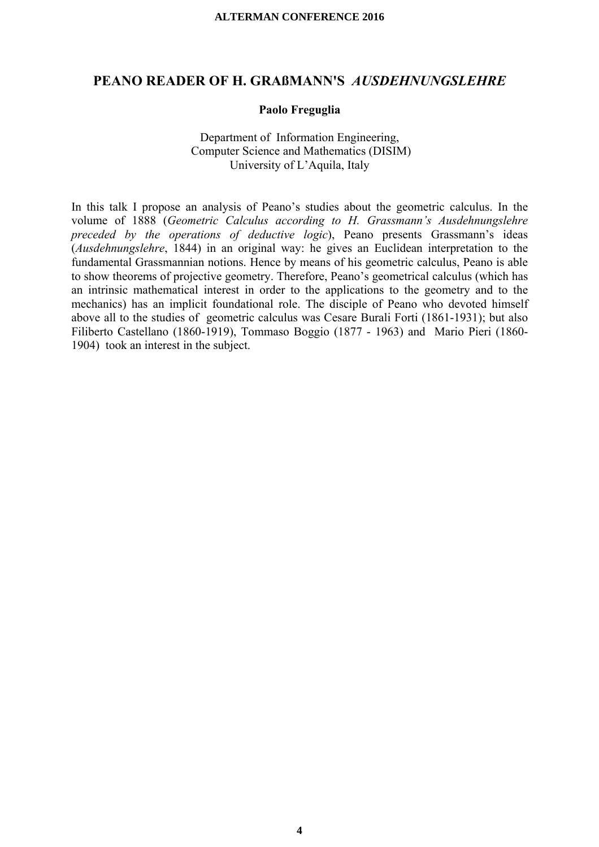## **PEANO READER OF H. GRAßMANN'S** *AUSDEHNUNGSLEHRE*

### **Paolo Freguglia**

## Department of Information Engineering, Computer Science and Mathematics (DISIM) University of L'Aquila, Italy

In this talk I propose an analysis of Peano's studies about the geometric calculus. In the volume of 1888 (*Geometric Calculus according to H. Grassmann's Ausdehnungslehre preceded by the operations of deductive logic*), Peano presents Grassmann's ideas (*Ausdehnungslehre*, 1844) in an original way: he gives an Euclidean interpretation to the fundamental Grassmannian notions. Hence by means of his geometric calculus, Peano is able to show theorems of projective geometry. Therefore, Peano's geometrical calculus (which has an intrinsic mathematical interest in order to the applications to the geometry and to the mechanics) has an implicit foundational role. The disciple of Peano who devoted himself above all to the studies of geometric calculus was Cesare Burali Forti (1861-1931); but also Filiberto Castellano (1860-1919), Tommaso Boggio (1877 - 1963) and Mario Pieri (1860- 1904) took an interest in the subject.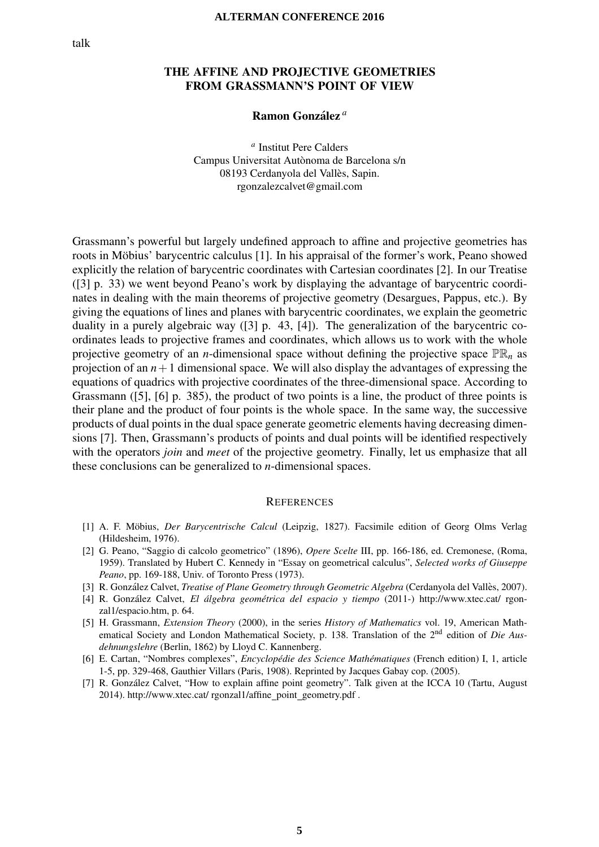## THE AFFINE AND PROJECTIVE GEOMETRIES FROM GRASSMANN'S POINT OF VIEW

### Ramon González<sup>a</sup>

*<sup>a</sup>* Institut Pere Calders Campus Universitat Autònoma de Barcelona s/n 08193 Cerdanyola del Vallès, Sapin. rgonzalezcalvet@gmail.com

Grassmann's powerful but largely undefined approach to affine and projective geometries has roots in Möbius' barycentric calculus [1]. In his appraisal of the former's work, Peano showed explicitly the relation of barycentric coordinates with Cartesian coordinates [2]. In our Treatise ([3] p. 33) we went beyond Peano's work by displaying the advantage of barycentric coordinates in dealing with the main theorems of projective geometry (Desargues, Pappus, etc.). By giving the equations of lines and planes with barycentric coordinates, we explain the geometric duality in a purely algebraic way ([3] p. 43, [4]). The generalization of the barycentric coordinates leads to projective frames and coordinates, which allows us to work with the whole projective geometry of an *n*-dimensional space without defining the projective space  $\mathbb{PR}_n$  as projection of an  $n+1$  dimensional space. We will also display the advantages of expressing the equations of quadrics with projective coordinates of the three-dimensional space. According to Grassmann ([5], [6] p. 385), the product of two points is a line, the product of three points is their plane and the product of four points is the whole space. In the same way, the successive products of dual points in the dual space generate geometric elements having decreasing dimensions [7]. Then, Grassmann's products of points and dual points will be identified respectively with the operators *join* and *meet* of the projective geometry. Finally, let us emphasize that all these conclusions can be generalized to *n*-dimensional spaces.

- [1] A. F. Möbius, *Der Barycentrische Calcul* (Leipzig, 1827). Facsimile edition of Georg Olms Verlag (Hildesheim, 1976).
- [2] G. Peano, "Saggio di calcolo geometrico" (1896), *Opere Scelte* III, pp. 166-186, ed. Cremonese, (Roma, 1959). Translated by Hubert C. Kennedy in "Essay on geometrical calculus", *Selected works of Giuseppe Peano*, pp. 169-188, Univ. of Toronto Press (1973).
- [3] R. González Calvet, *Treatise of Plane Geometry through Geometric Algebra* (Cerdanyola del Vallès, 2007).
- [4] R. González Calvet, *El álgebra geométrica del espacio y tiempo* (2011-) http://www.xtec.cat/ rgonzal1/espacio.htm, p. 64.
- [5] H. Grassmann, *Extension Theory* (2000), in the series *History of Mathematics* vol. 19, American Mathematical Society and London Mathematical Society, p. 138. Translation of the 2nd edition of *Die Ausdehnungslehre* (Berlin, 1862) by Lloyd C. Kannenberg.
- [6] E. Cartan, "Nombres complexes", *Encyclopedie des Science Math ´ ematiques ´* (French edition) I, 1, article 1-5, pp. 329-468, Gauthier Villars (Paris, 1908). Reprinted by Jacques Gabay cop. (2005).
- [7] R. Gonzalez Calvet, "How to explain affine point geometry". Talk given at the ICCA 10 (Tartu, August ´ 2014). http://www.xtec.cat/ rgonzal1/affine point geometry.pdf .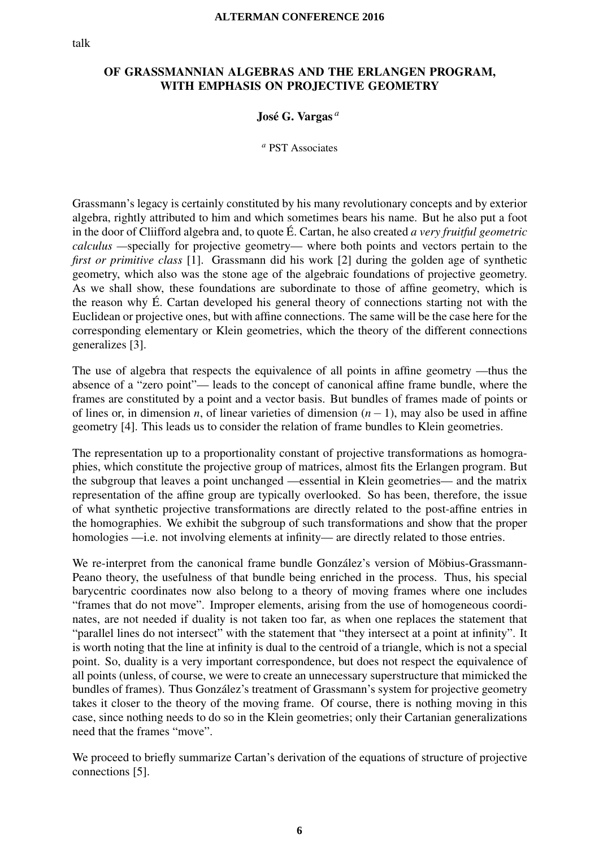## OF GRASSMANNIAN ALGEBRAS AND THE ERLANGEN PROGRAM,<br>WITH EMPHASIS ON PROJECTIVE GEOMETRY WITH EMPHASIS ON PROJECTIVE GEOMETRY

## José G. Vargas<sup>a</sup>

*<sup>a</sup>* PST Associates

Grassmann's legacy is certainly constituted by his many revolutionary concepts and by exterior algebra, rightly attributed to him and which sometimes bears his name. But he also put a foot in the door of Cliifford algebra and, to quote É. Cartan, he also created *a very fruitful geometric calculus —*specially for projective geometry— where both points and vectors pertain to the *first or primitive class* [1]. Grassmann did his work [2] during the golden age of synthetic geometry, which also was the stone age of the algebraic foundations of projective geometry. As we shall show, these foundations are subordinate to those of affine geometry, which is the reason why  $\acute{E}$ . Cartan developed his general theory of connections starting not with the Euclidean or projective ones, but with affine connections. The same will be the case here for the corresponding elementary or Klein geometries, which the theory of the different connections generalizes [3].

The use of algebra that respects the equivalence of all points in affine geometry —thus the absence of a "zero point"— leads to the concept of canonical affine frame bundle, where the frames are constituted by a point and a vector basis. But bundles of frames made of points or of lines or, in dimension *n*, of linear varieties of dimension (*n*−1), may also be used in affine geometry [4]. This leads us to consider the relation of frame bundles to Klein geometries.

The representation up to a proportionality constant of projective transformations as homographies, which constitute the projective group of matrices, almost fits the Erlangen program. But the subgroup that leaves a point unchanged —essential in Klein geometries— and the matrix representation of the affine group are typically overlooked. So has been, therefore, the issue of what synthetic projective transformations are directly related to the post-affine entries in the homographies. We exhibit the subgroup of such transformations and show that the proper homologies —i.e. not involving elements at infinity— are directly related to those entries.

We re-interpret from the canonical frame bundle González's version of Möbius-Grassmann-Peano theory, the usefulness of that bundle being enriched in the process. Thus, his special barycentric coordinates now also belong to a theory of moving frames where one includes "frames that do not move". Improper elements, arising from the use of homogeneous coordinates, are not needed if duality is not taken too far, as when one replaces the statement that "parallel lines do not intersect" with the statement that "they intersect at a point at infinity". It is worth noting that the line at infinity is dual to the centroid of a triangle, which is not a special point. So, duality is a very important correspondence, but does not respect the equivalence of all points (unless, of course, we were to create an unnecessary superstructure that mimicked the bundles of frames). Thus González's treatment of Grassmann's system for projective geometry takes it closer to the theory of the moving frame. Of course, there is nothing moving in this case, since nothing needs to do so in the Klein geometries; only their Cartanian generalizations need that the frames "move".

We proceed to briefly summarize Cartan's derivation of the equations of structure of projective connections [5].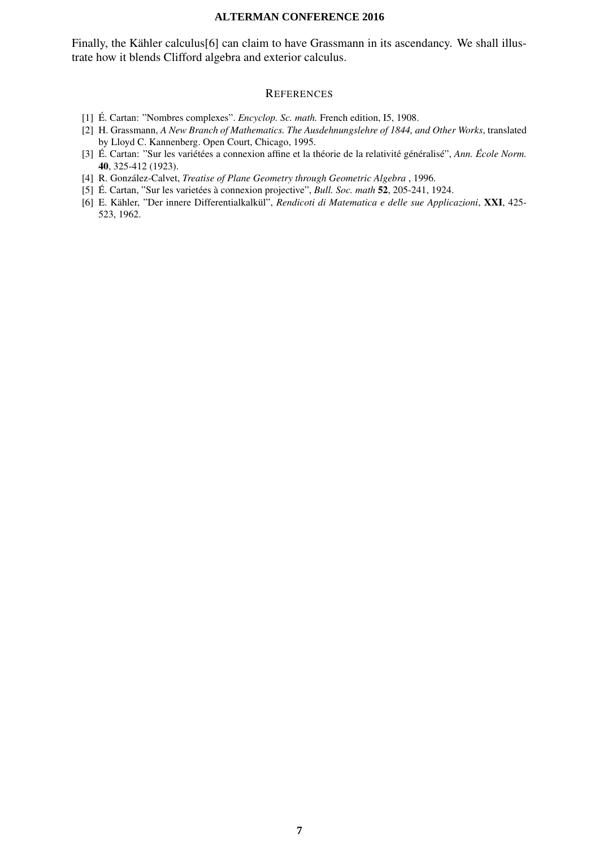Finally, the Kähler calculus[6] can claim to have Grassmann in its ascendancy. We shall illustrate how it blends Clifford algebra and exterior calculus.

- [1] É. Cartan: "Nombres complexes". *Encyclop. Sc. math.* French edition, I5, 1908.
- [2] H. Grassmann, *A New Branch of Mathematics. The Ausdehnungslehre of 1844, and Other Works*, translated by Lloyd C. Kannenberg. Open Court, Chicago, 1995.
- [3] É. Cartan: "Sur les variétées a connexion affine et la théorie de la relativité généralisé", Ann. École Norm. 40, 325-412 (1923).
- [4] R. González-Calvet, *Treatise of Plane Geometry through Geometric Algebra*, 1996.
- [5] É. Cartan, "Sur les varietées à connexion projective", *Bull. Soc. math* 52, 205-241, 1924.
- [6] E. Kähler, "Der innere Differentialkalkül", *Rendicoti di Matematica e delle sue Applicazioni*, XXI, 425-523, 1962.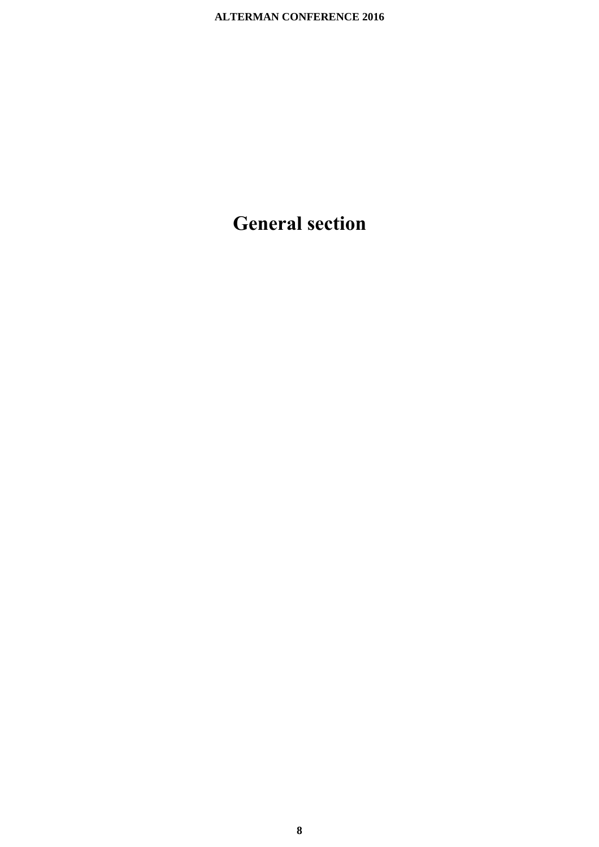# **General section**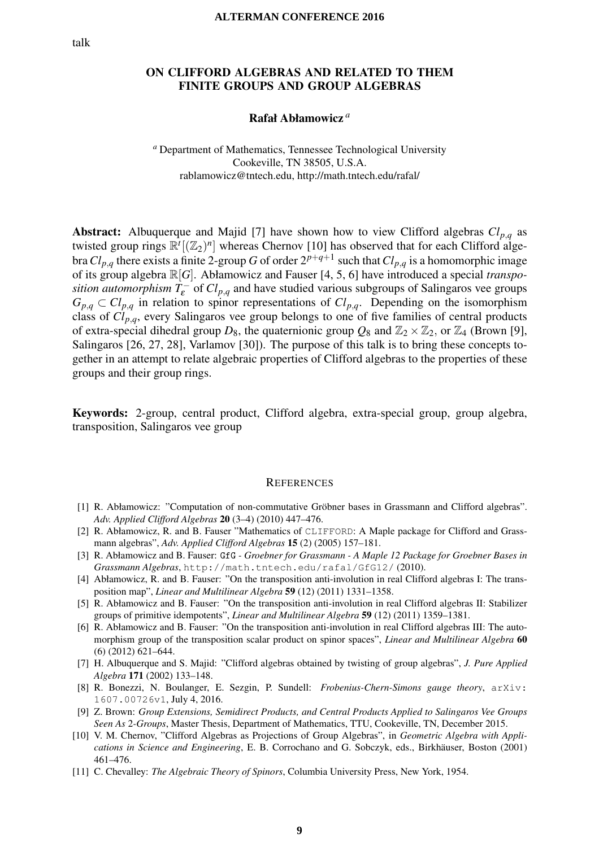## ON CLIFFORD ALGEBRAS AND RELATED TO THEM FINITE GROUPS AND GROUP ALGEBRAS

## Rafał Abłamowicz *a*

*<sup>a</sup>* Department of Mathematics, Tennessee Technological University Cookeville, TN 38505, U.S.A. rablamowicz@tntech.edu, http://math.tntech.edu/rafal/

**Abstract:** Albuquerque and Majid [7] have shown how to view Clifford algebras  $Cl_{p,q}$  as twisted group rings  $\mathbb{R}^{t}[(\mathbb{Z}_{2})^{n}]$  whereas Chernov [10] has observed that for each Clifford algebra  $Cl_{p,q}$  there exists a finite 2-group *G* of order  $2^{p+q+1}$  such that  $Cl_{p,q}$  is a homomorphic image of its group algebra R[*G*]. Abłamowicz and Fauser [4, 5, 6] have introduced a special *transposition automorphism*  $T_{\varepsilon}^-$  of  $Cl_{p,q}$  and have studied various subgroups of Salingaros vee groups  $G_{p,q} \subset Cl_{p,q}$  in relation to spinor representations of  $Cl_{p,q}$ . Depending on the isomorphism class of *Clp*,*q*, every Salingaros vee group belongs to one of five families of central products of extra-special dihedral group  $D_8$ , the quaternionic group  $Q_8$  and  $\mathbb{Z}_2 \times \mathbb{Z}_2$ , or  $\mathbb{Z}_4$  (Brown [9], Salingaros [26, 27, 28], Varlamov [30]). The purpose of this talk is to bring these concepts together in an attempt to relate algebraic properties of Clifford algebras to the properties of these groups and their group rings.

Keywords: 2-group, central product, Clifford algebra, extra-special group, group algebra, transposition, Salingaros vee group

- [1] R. Abłamowicz: "Computation of non-commutative Gröbner bases in Grassmann and Clifford algebras". *Adv. Applied Clifford Algebras* 20 (3–4) (2010) 447–476.
- [2] R. Abłamowicz, R. and B. Fauser "Mathematics of CLIFFORD: A Maple package for Clifford and Grassmann algebras", *Adv. Applied Clifford Algebras* 15 (2) (2005) 157–181.
- [3] R. Abłamowicz and B. Fauser: GfG  *Groebner for Grassmann A Maple 12 Package for Groebner Bases in Grassmann Algebras*, http://math.tntech.edu/rafal/GfG12/ (2010).
- [4] Abłamowicz, R. and B. Fauser: "On the transposition anti-involution in real Clifford algebras I: The transposition map", *Linear and Multilinear Algebra* 59 (12) (2011) 1331–1358.
- [5] R. Abłamowicz and B. Fauser: "On the transposition anti-involution in real Clifford algebras II: Stabilizer groups of primitive idempotents", *Linear and Multilinear Algebra* 59 (12) (2011) 1359–1381.
- [6] R. Abłamowicz and B. Fauser: "On the transposition anti-involution in real Clifford algebras III: The automorphism group of the transposition scalar product on spinor spaces", *Linear and Multilinear Algebra* 60 (6) (2012) 621–644.
- [7] H. Albuquerque and S. Majid: "Clifford algebras obtained by twisting of group algebras", *J. Pure Applied Algebra* 171 (2002) 133–148.
- [8] R. Bonezzi, N. Boulanger, E. Sezgin, P. Sundell: *Frobenius-Chern-Simons gauge theory*, arXiv: 1607.00726v1, July 4, 2016.
- [9] Z. Brown: *Group Extensions, Semidirect Products, and Central Products Applied to Salingaros Vee Groups Seen As* 2*-Groups*, Master Thesis, Department of Mathematics, TTU, Cookeville, TN, December 2015.
- [10] V. M. Chernov, "Clifford Algebras as Projections of Group Algebras", in *Geometric Algebra with Applications in Science and Engineering*, E. B. Corrochano and G. Sobczyk, eds., Birkhäuser, Boston (2001) 461–476.
- [11] C. Chevalley: *The Algebraic Theory of Spinors*, Columbia University Press, New York, 1954.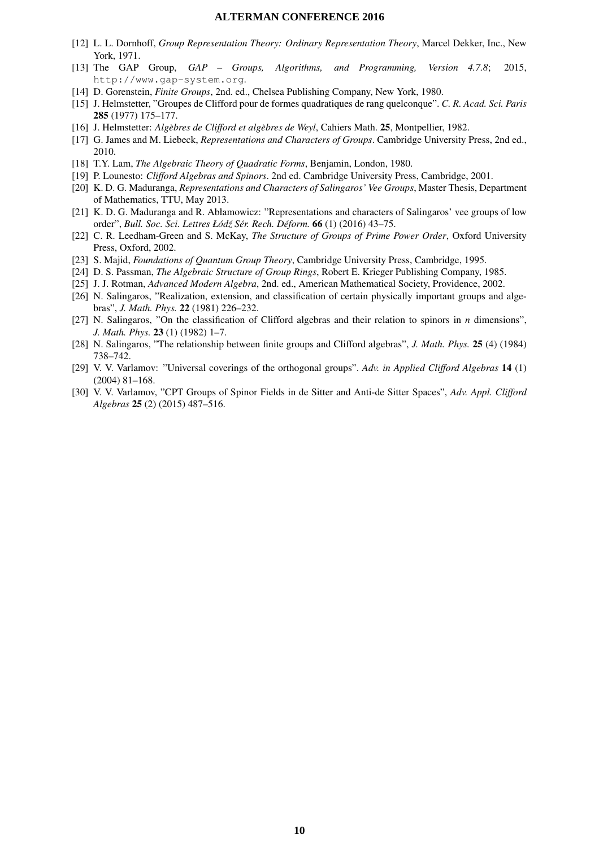- [12] L. L. Dornhoff, *Group Representation Theory: Ordinary Representation Theory*, Marcel Dekker, Inc., New York, 1971.
- [13] The GAP Group, *GAP Groups, Algorithms, and Programming, Version 4.7.8*; 2015, http://www.gap-system.org.
- [14] D. Gorenstein, *Finite Groups*, 2nd. ed., Chelsea Publishing Company, New York, 1980.
- [15] J. Helmstetter, "Groupes de Clifford pour de formes quadratiques de rang quelconque". *C. R. Acad. Sci. Paris* 285 (1977) 175–177.
- [16] J. Helmstetter: *Algebres de Clifford et alg ` ebres de Weyl `* , Cahiers Math. 25, Montpellier, 1982.
- [17] G. James and M. Liebeck, *Representations and Characters of Groups*. Cambridge University Press, 2nd ed., 2010.
- [18] T.Y. Lam, *The Algebraic Theory of Quadratic Forms*, Benjamin, London, 1980.
- [19] P. Lounesto: *Clifford Algebras and Spinors*. 2nd ed. Cambridge University Press, Cambridge, 2001.
- [20] K. D. G. Maduranga, *Representations and Characters of Salingaros' Vee Groups*, Master Thesis, Department of Mathematics, TTU, May 2013.
- [21] K. D. G. Maduranga and R. Abłamowicz: "Representations and characters of Salingaros' vee groups of low order", *Bull. Soc. Sci. Lettres Łod´ z S´ er. Rech. D ´ eform. ´* 66 (1) (2016) 43–75.
- [22] C. R. Leedham-Green and S. McKay, *The Structure of Groups of Prime Power Order*, Oxford University Press, Oxford, 2002.
- [23] S. Majid, *Foundations of Quantum Group Theory*, Cambridge University Press, Cambridge, 1995.
- [24] D. S. Passman, *The Algebraic Structure of Group Rings*, Robert E. Krieger Publishing Company, 1985.
- [25] J. J. Rotman, *Advanced Modern Algebra*, 2nd. ed., American Mathematical Society, Providence, 2002.
- [26] N. Salingaros, "Realization, extension, and classification of certain physically important groups and algebras", *J. Math. Phys.* 22 (1981) 226–232.
- [27] N. Salingaros, "On the classification of Clifford algebras and their relation to spinors in *n* dimensions", *J. Math. Phys.* 23 (1) (1982) 1–7.
- [28] N. Salingaros, "The relationship between finite groups and Clifford algebras", *J. Math. Phys.* 25 (4) (1984) 738–742.
- [29] V. V. Varlamov: "Universal coverings of the orthogonal groups". *Adv. in Applied Clifford Algebras* 14 (1) (2004) 81–168.
- [30] V. V. Varlamov, "CPT Groups of Spinor Fields in de Sitter and Anti-de Sitter Spaces", *Adv. Appl. Clifford Algebras* 25 (2) (2015) 487–516.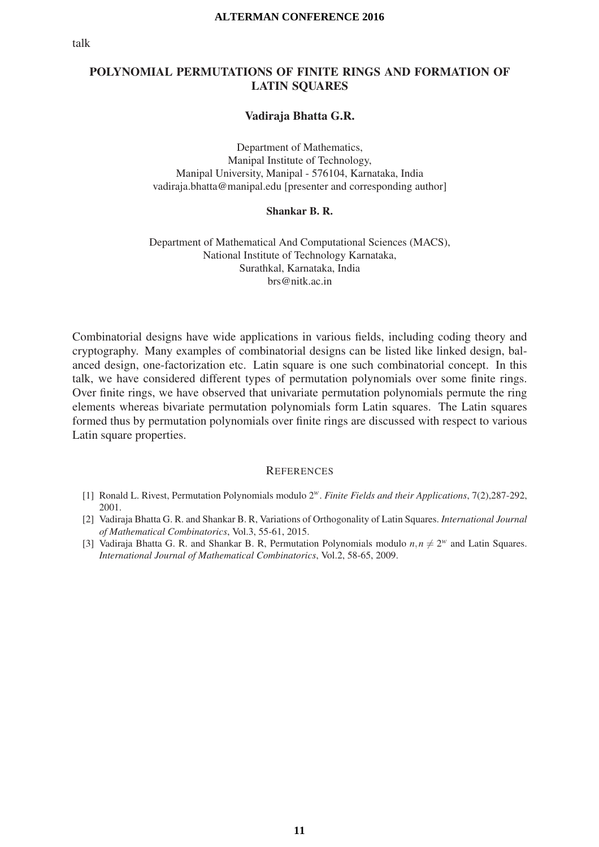## POLYNOMIAL PERMUTATIONS OF FINITE RINGS AND FORMATION OF LATIN SQUARES

## Vadiraja Bhatta G.R.

Department of Mathematics, Manipal Institute of Technology, Manipal University, Manipal - 576104, Karnataka, India vadiraja.bhatta@manipal.edu [presenter and corresponding author]

#### Shankar B. R.

Department of Mathematical And Computational Sciences (MACS), National Institute of Technology Karnataka, Surathkal, Karnataka, India brs@nitk.ac.in

Combinatorial designs have wide applications in various fields, including coding theory and cryptography. Many examples of combinatorial designs can be listed like linked design, balanced design, one-factorization etc. Latin square is one such combinatorial concept. In this talk, we have considered different types of permutation polynomials over some finite rings. Over finite rings, we have observed that univariate permutation polynomials permute the ring elements whereas bivariate permutation polynomials form Latin squares. The Latin squares formed thus by permutation polynomials over finite rings are discussed with respect to various Latin square properties.

- [1] Ronald L. Rivest, Permutation Polynomials modulo 2*w*. *Finite Fields and their Applications*, 7(2),287-292, 2001.
- [2] Vadiraja Bhatta G. R. and Shankar B. R, Variations of Orthogonality of Latin Squares. *International Journal of Mathematical Combinatorics*, Vol.3, 55-61, 2015.
- [3] Vadiraja Bhatta G. R. and Shankar B. R, Permutation Polynomials modulo  $n, n \neq 2^w$  and Latin Squares. *International Journal of Mathematical Combinatorics*, Vol.2, 58-65, 2009.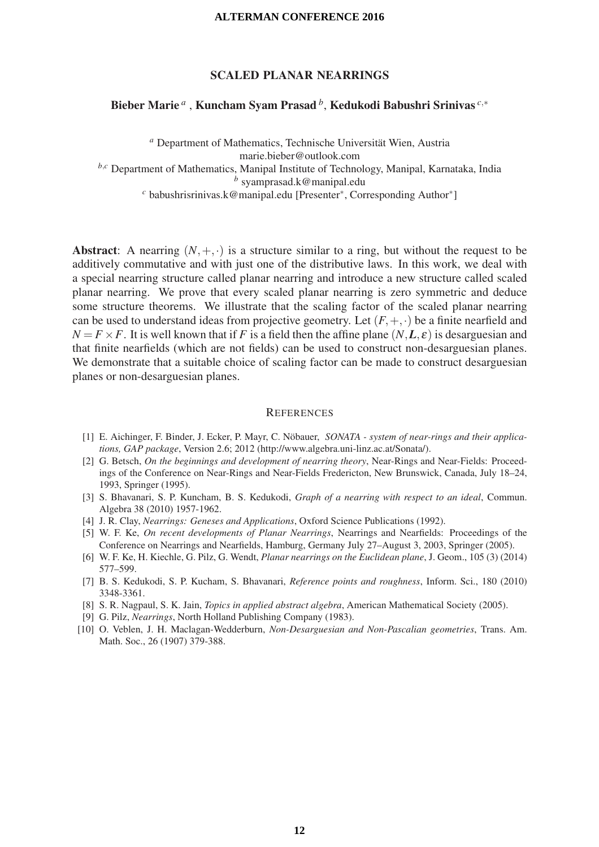## SCALED PLANAR NEARRINGS

## Bieber Marie *<sup>a</sup>* , Kuncham Syam Prasad *<sup>b</sup>*, Kedukodi Babushri Srinivas *<sup>c</sup>*,<sup>∗</sup>

*<sup>a</sup>* Department of Mathematics, Technische Universitat Wien, Austria ¨ marie.bieber@outlook.com

*<sup>b</sup>*,*<sup>c</sup>* Department of Mathematics, Manipal Institute of Technology, Manipal, Karnataka, India

*<sup>b</sup>* syamprasad.k@manipal.edu

*<sup>c</sup>* babushrisrinivas.k@manipal.edu [Presenter∗, Corresponding Author∗]

Abstract: A nearring  $(N, +, \cdot)$  is a structure similar to a ring, but without the request to be additively commutative and with just one of the distributive laws. In this work, we deal with a special nearring structure called planar nearring and introduce a new structure called scaled planar nearring. We prove that every scaled planar nearring is zero symmetric and deduce some structure theorems. We illustrate that the scaling factor of the scaled planar nearring can be used to understand ideas from projective geometry. Let  $(F, +, \cdot)$  be a finite nearfield and  $N = F \times F$ . It is well known that if *F* is a field then the affine plane  $(N, L, \varepsilon)$  is desarguesian and that finite nearfields (which are not fields) can be used to construct non-desarguesian planes. We demonstrate that a suitable choice of scaling factor can be made to construct desarguesian planes or non-desarguesian planes.

- [1] E. Aichinger, F. Binder, J. Ecker, P. Mayr, C. Nöbauer, *SONATA system of near-rings and their applications, GAP package*, Version 2.6; 2012 (http://www.algebra.uni-linz.ac.at/Sonata/).
- [2] G. Betsch, *On the beginnings and development of nearring theory*, Near-Rings and Near-Fields: Proceedings of the Conference on Near-Rings and Near-Fields Fredericton, New Brunswick, Canada, July 18–24, 1993, Springer (1995).
- [3] S. Bhavanari, S. P. Kuncham, B. S. Kedukodi, *Graph of a nearring with respect to an ideal*, Commun. Algebra 38 (2010) 1957-1962.
- [4] J. R. Clay, *Nearrings: Geneses and Applications*, Oxford Science Publications (1992).
- [5] W. F. Ke, *On recent developments of Planar Nearrings*, Nearrings and Nearfields: Proceedings of the Conference on Nearrings and Nearfields, Hamburg, Germany July 27–August 3, 2003, Springer (2005).
- [6] W. F. Ke, H. Kiechle, G. Pilz, G. Wendt, *Planar nearrings on the Euclidean plane*, J. Geom., 105 (3) (2014) 577–599.
- [7] B. S. Kedukodi, S. P. Kucham, S. Bhavanari, *Reference points and roughness*, Inform. Sci., 180 (2010) 3348-3361.
- [8] S. R. Nagpaul, S. K. Jain, *Topics in applied abstract algebra*, American Mathematical Society (2005).
- [9] G. Pilz, *Nearrings*, North Holland Publishing Company (1983).
- [10] O. Veblen, J. H. Maclagan-Wedderburn, *Non-Desarguesian and Non-Pascalian geometries*, Trans. Am. Math. Soc., 26 (1907) 379-388.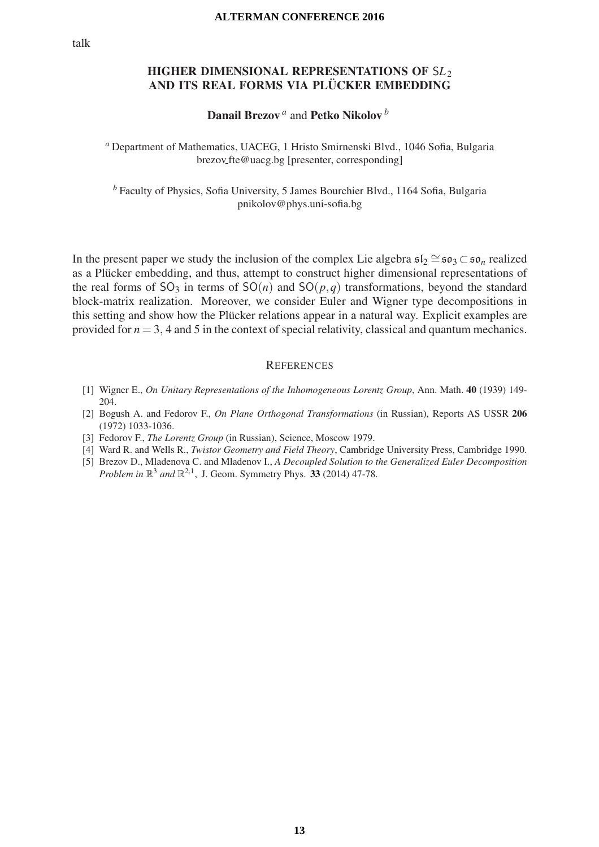## HIGHER DIMENSIONAL REPRESENTATIONS OF S*L*<sup>2</sup> AND ITS REAL FORMS VIA PLÜCKER EMBEDDING

## Danail Brezov *<sup>a</sup>* and Petko Nikolov *<sup>b</sup>*

*<sup>a</sup>* Department of Mathematics, UACEG, 1 Hristo Smirnenski Blvd., 1046 Sofia, Bulgaria brezov fte@uacg.bg [presenter, corresponding]

*<sup>b</sup>* Faculty of Physics, Sofia University, 5 James Bourchier Blvd., 1164 Sofia, Bulgaria pnikolov@phys.uni-sofia.bg

In the present paper we study the inclusion of the complex Lie algebra  $\mathfrak{sl}_2 \cong \mathfrak{so}_3 \subset \mathfrak{so}_n$  realized as a Plücker embedding, and thus, attempt to construct higher dimensional representations of the real forms of  $SO_3$  in terms of  $SO(n)$  and  $SO(p,q)$  transformations, beyond the standard block-matrix realization. Moreover, we consider Euler and Wigner type decompositions in this setting and show how the Plücker relations appear in a natural way. Explicit examples are provided for  $n = 3$ , 4 and 5 in the context of special relativity, classical and quantum mechanics.

- [1] Wigner E., *On Unitary Representations of the Inhomogeneous Lorentz Group*, Ann. Math. 40 (1939) 149- 204.
- [2] Bogush A. and Fedorov F., *On Plane Orthogonal Transformations* (in Russian), Reports AS USSR 206 (1972) 1033-1036.
- [3] Fedorov F., *The Lorentz Group* (in Russian), Science, Moscow 1979.
- [4] Ward R. and Wells R., *Twistor Geometry and Field Theory*, Cambridge University Press, Cambridge 1990.
- [5] Brezov D., Mladenova C. and Mladenov I., *A Decoupled Solution to the Generalized Euler Decomposition Problem in*  $\mathbb{R}^3$  *and*  $\mathbb{R}^{2,1}$ , J. Geom. Symmetry Phys. 33 (2014) 47-78.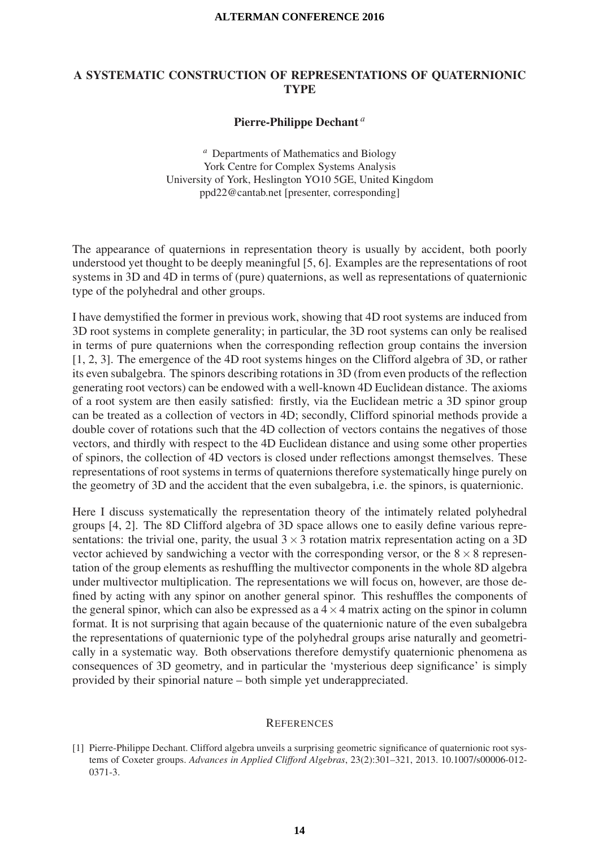## A SYSTEMATIC CONSTRUCTION OF REPRESENTATIONS OF QUATERNIONIC TYPE

## Pierre-Philippe Dechant *a*

*<sup>a</sup>* Departments of Mathematics and Biology York Centre for Complex Systems Analysis University of York, Heslington YO10 5GE, United Kingdom ppd22@cantab.net [presenter, corresponding]

The appearance of quaternions in representation theory is usually by accident, both poorly understood yet thought to be deeply meaningful [5, 6]. Examples are the representations of root systems in 3D and 4D in terms of (pure) quaternions, as well as representations of quaternionic type of the polyhedral and other groups.

I have demystified the former in previous work, showing that 4D root systems are induced from 3D root systems in complete generality; in particular, the 3D root systems can only be realised in terms of pure quaternions when the corresponding reflection group contains the inversion [1, 2, 3]. The emergence of the 4D root systems hinges on the Clifford algebra of 3D, or rather its even subalgebra. The spinors describing rotations in 3D (from even products of the reflection generating root vectors) can be endowed with a well-known 4D Euclidean distance. The axioms of a root system are then easily satisfied: firstly, via the Euclidean metric a 3D spinor group can be treated as a collection of vectors in 4D; secondly, Clifford spinorial methods provide a double cover of rotations such that the 4D collection of vectors contains the negatives of those vectors, and thirdly with respect to the 4D Euclidean distance and using some other properties of spinors, the collection of 4D vectors is closed under reflections amongst themselves. These representations of root systems in terms of quaternions therefore systematically hinge purely on the geometry of 3D and the accident that the even subalgebra, i.e. the spinors, is quaternionic.

Here I discuss systematically the representation theory of the intimately related polyhedral groups [4, 2]. The 8D Clifford algebra of 3D space allows one to easily define various representations: the trivial one, parity, the usual  $3 \times 3$  rotation matrix representation acting on a 3D vector achieved by sandwiching a vector with the corresponding versor, or the  $8 \times 8$  representation of the group elements as reshuffling the multivector components in the whole 8D algebra under multivector multiplication. The representations we will focus on, however, are those defined by acting with any spinor on another general spinor. This reshuffles the components of the general spinor, which can also be expressed as a  $4 \times 4$  matrix acting on the spinor in column format. It is not surprising that again because of the quaternionic nature of the even subalgebra the representations of quaternionic type of the polyhedral groups arise naturally and geometrically in a systematic way. Both observations therefore demystify quaternionic phenomena as consequences of 3D geometry, and in particular the 'mysterious deep significance' is simply provided by their spinorial nature – both simple yet underappreciated.

<sup>[1]</sup> Pierre-Philippe Dechant. Clifford algebra unveils a surprising geometric significance of quaternionic root systems of Coxeter groups. *Advances in Applied Clifford Algebras*, 23(2):301–321, 2013. 10.1007/s00006-012- 0371-3.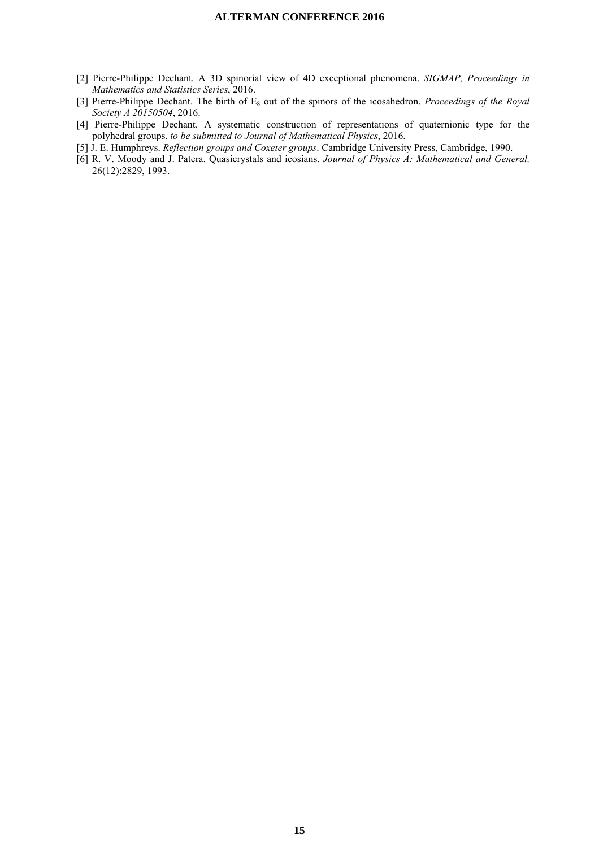- [2] Pierre-Philippe Dechant. A 3D spinorial view of 4D exceptional phenomena. *SIGMAP, Proceedings in Mathematics and Statistics Series*, 2016.
- [3] Pierre-Philippe Dechant. The birth of E<sub>8</sub> out of the spinors of the icosahedron. *Proceedings of the Royal Society A 20150504*, 2016.
- [4] Pierre-Philippe Dechant. A systematic construction of representations of quaternionic type for the polyhedral groups. *to be submitted to Journal of Mathematical Physics*, 2016.
- [5] J. E. Humphreys. *Reflection groups and Coxeter groups*. Cambridge University Press, Cambridge, 1990.
- [6] R. V. Moody and J. Patera. Quasicrystals and icosians. *Journal of Physics A: Mathematical and General,* 26(12):2829, 1993.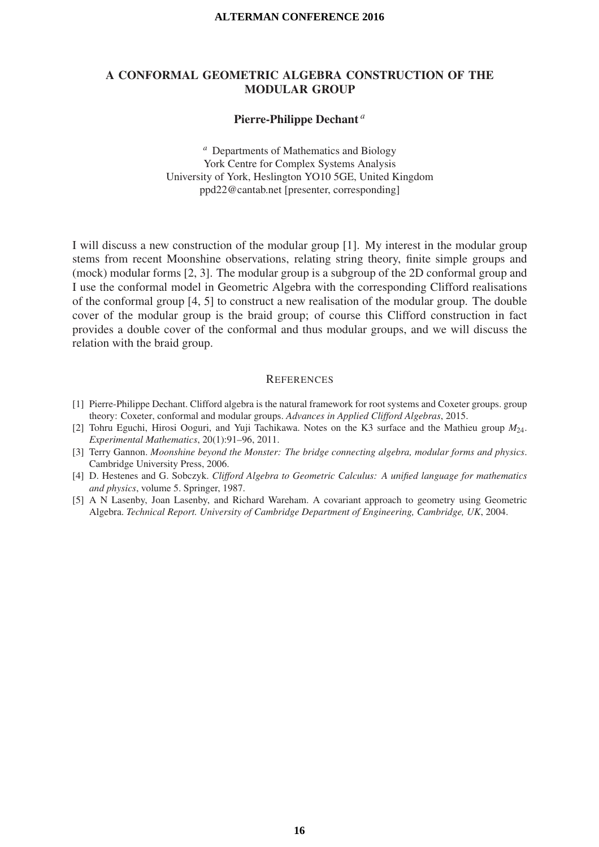## A CONFORMAL GEOMETRIC ALGEBRA CONSTRUCTION OF THE MODULAR GROUP

## Pierre-Philippe Dechant *a*

*<sup>a</sup>* Departments of Mathematics and Biology York Centre for Complex Systems Analysis University of York, Heslington YO10 5GE, United Kingdom ppd22@cantab.net [presenter, corresponding]

I will discuss a new construction of the modular group [1]. My interest in the modular group stems from recent Moonshine observations, relating string theory, finite simple groups and (mock) modular forms [2, 3]. The modular group is a subgroup of the 2D conformal group and I use the conformal model in Geometric Algebra with the corresponding Clifford realisations of the conformal group [4, 5] to construct a new realisation of the modular group. The double cover of the modular group is the braid group; of course this Clifford construction in fact provides a double cover of the conformal and thus modular groups, and we will discuss the relation with the braid group.

- [1] Pierre-Philippe Dechant. Clifford algebra is the natural framework for root systems and Coxeter groups. group theory: Coxeter, conformal and modular groups. *Advances in Applied Clifford Algebras*, 2015.
- [2] Tohru Eguchi, Hirosi Ooguri, and Yuji Tachikawa. Notes on the K3 surface and the Mathieu group *M*24. *Experimental Mathematics*, 20(1):91–96, 2011.
- [3] Terry Gannon. *Moonshine beyond the Monster: The bridge connecting algebra, modular forms and physics*. Cambridge University Press, 2006.
- [4] D. Hestenes and G. Sobczyk. *Clifford Algebra to Geometric Calculus: A unified language for mathematics and physics*, volume 5. Springer, 1987.
- [5] A N Lasenby, Joan Lasenby, and Richard Wareham. A covariant approach to geometry using Geometric Algebra. *Technical Report. University of Cambridge Department of Engineering, Cambridge, UK*, 2004.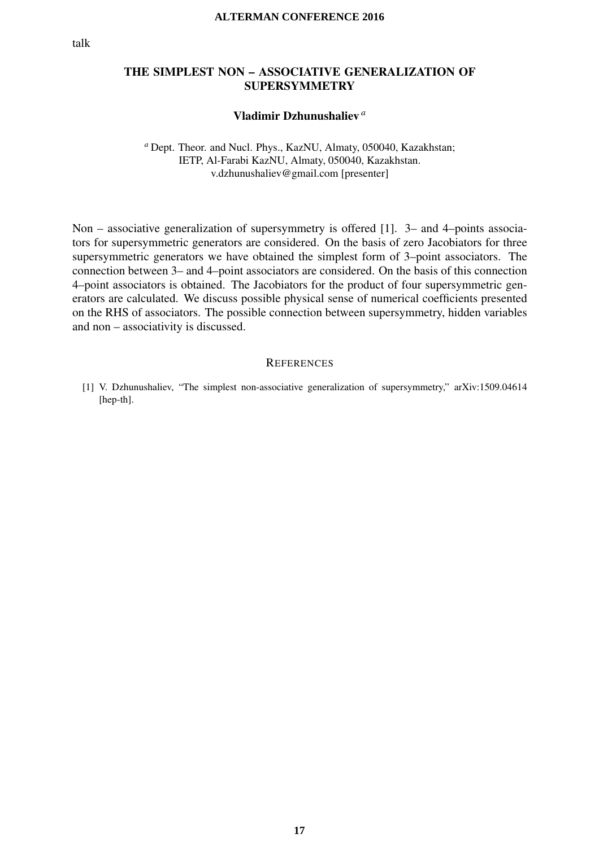## THE SIMPLEST NON – ASSOCIATIVE GENERALIZATION OF SUPERSYMMETRY

## Vladimir Dzhunushaliev *a*

## *<sup>a</sup>* Dept. Theor. and Nucl. Phys., KazNU, Almaty, 050040, Kazakhstan; IETP, Al-Farabi KazNU, Almaty, 050040, Kazakhstan. v.dzhunushaliev@gmail.com [presenter]

Non – associative generalization of supersymmetry is offered [1]. 3– and 4–points associators for supersymmetric generators are considered. On the basis of zero Jacobiators for three supersymmetric generators we have obtained the simplest form of 3–point associators. The connection between 3– and 4–point associators are considered. On the basis of this connection 4–point associators is obtained. The Jacobiators for the product of four supersymmetric generators are calculated. We discuss possible physical sense of numerical coefficients presented on the RHS of associators. The possible connection between supersymmetry, hidden variables and non – associativity is discussed.

### **REFERENCES**

[1] V. Dzhunushaliev, "The simplest non-associative generalization of supersymmetry," arXiv:1509.04614 [hep-th].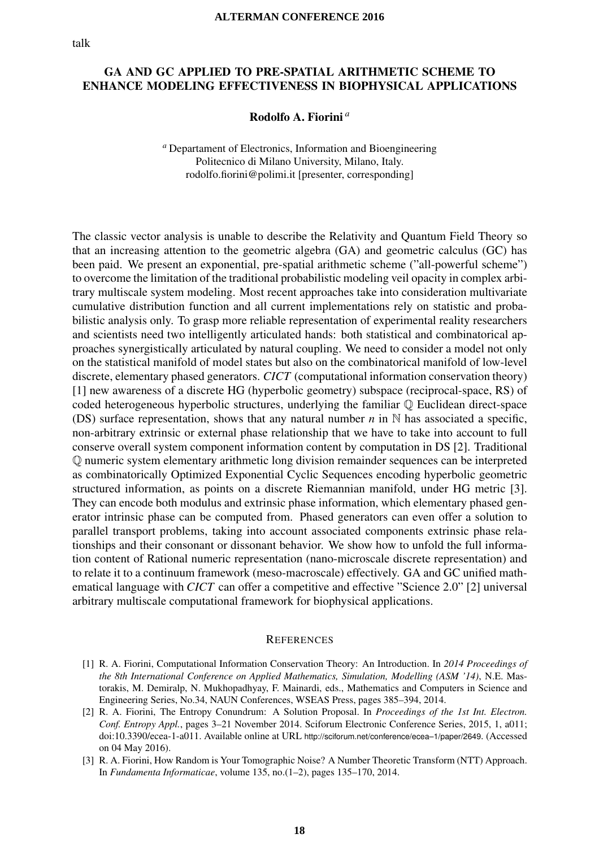## GA AND GC APPLIED TO PRE-SPATIAL ARITHMETIC SCHEME TO ENHANCE MODELING EFFECTIVENESS IN BIOPHYSICAL APPLICATIONS

## Rodolfo A. Fiorini *a*

*<sup>a</sup>* Departament of Electronics, Information and Bioengineering Politecnico di Milano University, Milano, Italy. rodolfo.fiorini@polimi.it [presenter, corresponding]

The classic vector analysis is unable to describe the Relativity and Quantum Field Theory so that an increasing attention to the geometric algebra (GA) and geometric calculus (GC) has been paid. We present an exponential, pre-spatial arithmetic scheme ("all-powerful scheme") to overcome the limitation of the traditional probabilistic modeling veil opacity in complex arbitrary multiscale system modeling. Most recent approaches take into consideration multivariate cumulative distribution function and all current implementations rely on statistic and probabilistic analysis only. To grasp more reliable representation of experimental reality researchers and scientists need two intelligently articulated hands: both statistical and combinatorical approaches synergistically articulated by natural coupling. We need to consider a model not only on the statistical manifold of model states but also on the combinatorical manifold of low-level discrete, elementary phased generators. *CICT* (computational information conservation theory) [1] new awareness of a discrete HG (hyperbolic geometry) subspace (reciprocal-space, RS) of coded heterogeneous hyperbolic structures, underlying the familiar Q Euclidean direct-space (DS) surface representation, shows that any natural number *n* in N has associated a specific, non-arbitrary extrinsic or external phase relationship that we have to take into account to full conserve overall system component information content by computation in DS [2]. Traditional Q numeric system elementary arithmetic long division remainder sequences can be interpreted as combinatorically Optimized Exponential Cyclic Sequences encoding hyperbolic geometric structured information, as points on a discrete Riemannian manifold, under HG metric [3]. They can encode both modulus and extrinsic phase information, which elementary phased generator intrinsic phase can be computed from. Phased generators can even offer a solution to parallel transport problems, taking into account associated components extrinsic phase relationships and their consonant or dissonant behavior. We show how to unfold the full information content of Rational numeric representation (nano-microscale discrete representation) and to relate it to a continuum framework (meso-macroscale) effectively. GA and GC unified mathematical language with *CICT* can offer a competitive and effective "Science 2.0" [2] universal arbitrary multiscale computational framework for biophysical applications.

- [1] R. A. Fiorini, Computational Information Conservation Theory: An Introduction. In *2014 Proceedings of the 8th International Conference on Applied Mathematics, Simulation, Modelling (ASM '14)*, N.E. Mastorakis, M. Demiralp, N. Mukhopadhyay, F. Mainardi, eds., Mathematics and Computers in Science and Engineering Series, No.34, NAUN Conferences, WSEAS Press, pages 385–394, 2014.
- [2] R. A. Fiorini, The Entropy Conundrum: A Solution Proposal. In *Proceedings of the 1st Int. Electron. Conf. Entropy Appl.*, pages 3–21 November 2014. Sciforum Electronic Conference Series, 2015, 1, a011; doi:10.3390/ecea-1-a011. Available online at URL http://sciforum.net/conference/ecea–1/paper/2649. (Accessed on 04 May 2016).
- [3] R. A. Fiorini, How Random is Your Tomographic Noise? A Number Theoretic Transform (NTT) Approach. In *Fundamenta Informaticae*, volume 135, no.(1–2), pages 135–170, 2014.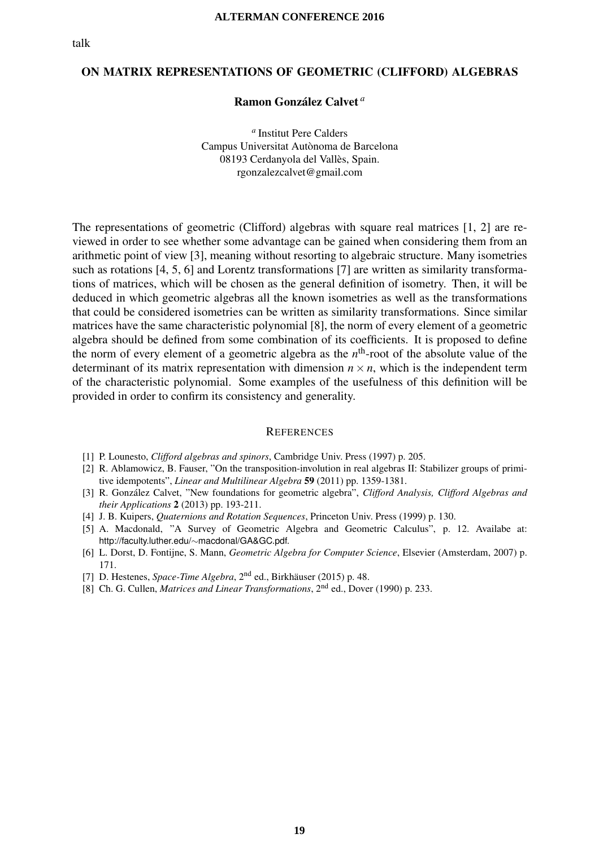## ON MATRIX REPRESENTATIONS OF GEOMETRIC (CLIFFORD) ALGEBRAS

#### Ramon González Calvet<sup>a</sup>

*<sup>a</sup>* Institut Pere Calders Campus Universitat Autònoma de Barcelona 08193 Cerdanyola del Valles, Spain. ` rgonzalezcalvet@gmail.com

The representations of geometric (Clifford) algebras with square real matrices [1, 2] are reviewed in order to see whether some advantage can be gained when considering them from an arithmetic point of view [3], meaning without resorting to algebraic structure. Many isometries such as rotations [4, 5, 6] and Lorentz transformations [7] are written as similarity transformations of matrices, which will be chosen as the general definition of isometry. Then, it will be deduced in which geometric algebras all the known isometries as well as the transformations that could be considered isometries can be written as similarity transformations. Since similar matrices have the same characteristic polynomial [8], the norm of every element of a geometric algebra should be defined from some combination of its coefficients. It is proposed to define the norm of every element of a geometric algebra as the *n*th-root of the absolute value of the determinant of its matrix representation with dimension  $n \times n$ , which is the independent term of the characteristic polynomial. Some examples of the usefulness of this definition will be provided in order to confirm its consistency and generality.

- [1] P. Lounesto, *Clifford algebras and spinors*, Cambridge Univ. Press (1997) p. 205.
- [2] R. Ablamowicz, B. Fauser, "On the transposition-involution in real algebras II: Stabilizer groups of primitive idempotents", *Linear and Multilinear Algebra* 59 (2011) pp. 1359-1381.
- [3] R. González Calvet, "New foundations for geometric algebra", *Clifford Analysis, Clifford Algebras and their Applications* 2 (2013) pp. 193-211.
- [4] J. B. Kuipers, *Quaternions and Rotation Sequences*, Princeton Univ. Press (1999) p. 130.
- [5] A. Macdonald, "A Survey of Geometric Algebra and Geometric Calculus", p. 12. Availabe at: http://faculty.luther.edu/∼macdonal/GA&GC.pdf.
- [6] L. Dorst, D. Fontijne, S. Mann, *Geometric Algebra for Computer Science*, Elsevier (Amsterdam, 2007) p. 171.
- [7] D. Hestenes, *Space-Time Algebra*, 2<sup>nd</sup> ed., Birkhäuser (2015) p. 48.
- [8] Ch. G. Cullen, *Matrices and Linear Transformations*, 2nd ed., Dover (1990) p. 233.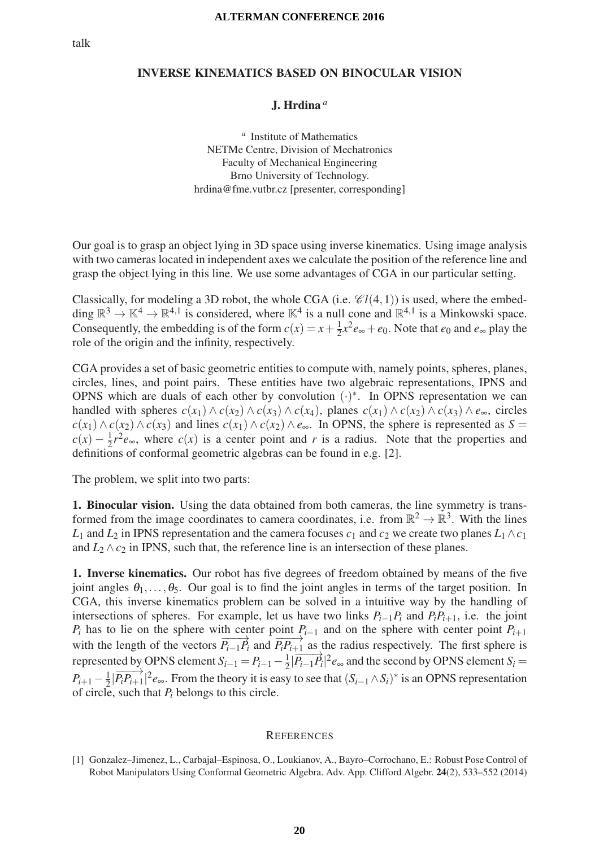## INVERSE KINEMATICS BASED ON BINOCULAR VISION

## J. Hrdina *a*

*<sup>a</sup>* Institute of Mathematics NETMe Centre, Division of Mechatronics Faculty of Mechanical Engineering Brno University of Technology. hrdina@fme.vutbr.cz [presenter, corresponding]

Our goal is to grasp an object lying in 3D space using inverse kinematics. Using image analysis with two cameras located in independent axes we calculate the position of the reference line and grasp the object lying in this line. We use some advantages of CGA in our particular setting.

Classically, for modeling a 3D robot, the whole CGA (i.e.  $\mathcal{C}l(4,1)$ ) is used, where the embedding  $\mathbb{R}^3 \to \mathbb{K}^4 \to \mathbb{R}^{4,1}$  is considered, where  $\mathbb{K}^4$  is a null cone and  $\mathbb{R}^{4,1}$  is a Minkowski space. Consequently, the embedding is of the form  $c(x) = x + \frac{1}{2}x^2e_{\infty} + e_0$ . Note that  $e_0$  and  $e_{\infty}$  play the role of the origin and the infinity, respectively.

CGA provides a set of basic geometric entities to compute with, namely points, spheres, planes, circles, lines, and point pairs. These entities have two algebraic representations, IPNS and OPNS which are duals of each other by convolution  $(·)^*$ . In OPNS representation we can handled with spheres  $c(x_1) \land c(x_2) \land c(x_3) \land c(x_4)$ , planes  $c(x_1) \land c(x_2) \land c(x_3) \land e_\infty$ , circles *c*(*x*<sub>1</sub>) ∧ *c*(*x*<sub>2</sub>) ∧ *c*(*x*<sub>3</sub>) and lines *c*(*x*<sub>1</sub>) ∧ *c*(*x*<sub>2</sub>) ∧ *e*<sub>∞</sub>. In OPNS, the sphere is represented as *S* =  $c(x) - \frac{1}{2}r^2e_{\infty}$ , where  $c(x)$  is a center point and *r* is a radius. Note that the properties and definitions of conformal geometric algebras can be found in e.g. [2].

The problem, we split into two parts:

1. Binocular vision. Using the data obtained from both cameras, the line symmetry is transformed from the image coordinates to camera coordinates, i.e. from  $\mathbb{R}^2 \to \mathbb{R}^3$ . With the lines *L*<sub>1</sub> and *L*<sub>2</sub> in IPNS representation and the camera focuses  $c_1$  and  $c_2$  we create two planes  $L_1 \wedge c_1$ and  $L_2 \wedge c_2$  in IPNS, such that, the reference line is an intersection of these planes.

1. Inverse kinematics. Our robot has five degrees of freedom obtained by means of the five joint angles  $\theta_1, \ldots, \theta_5$ . Our goal is to find the joint angles in terms of the target position. In CGA, this inverse kinematics problem can be solved in a intuitive way by the handling of intersections of spheres. For example, let us have two links  $P_{i-1}P_i$  and  $P_iP_{i+1}$ , i.e. the joint  $P_i$  has to lie on the sphere with center point  $P_{i-1}$  and on the sphere with center point  $P_{i+1}$ with the length of the vectors  $\overrightarrow{P_{i-1}P_i}$  and  $\overrightarrow{P_iP_{i+1}}$  as the radius respectively. The first sphere is represented by OPNS element  $S_{i-1} = P_{i-1} - \frac{1}{2} |\overrightarrow{P_{i-1}P_i}|^2 e_{\infty}$  and the second by OPNS element  $S_i =$  $P_{i+1} - \frac{1}{2} |\overrightarrow{P_i P_{i+1}}|^2 e_{\infty}$ . From the theory it is easy to see that  $(S_{i-1} \wedge S_i)^*$  is an OPNS representation of circle, such that *Pi* belongs to this circle.

<sup>[1]</sup> Gonzalez–Jimenez, L., Carbajal–Espinosa, O., Loukianov, A., Bayro–Corrochano, E.: Robust Pose Control of Robot Manipulators Using Conformal Geometric Algebra. Adv. App. Clifford Algebr. 24(2), 533–552 (2014)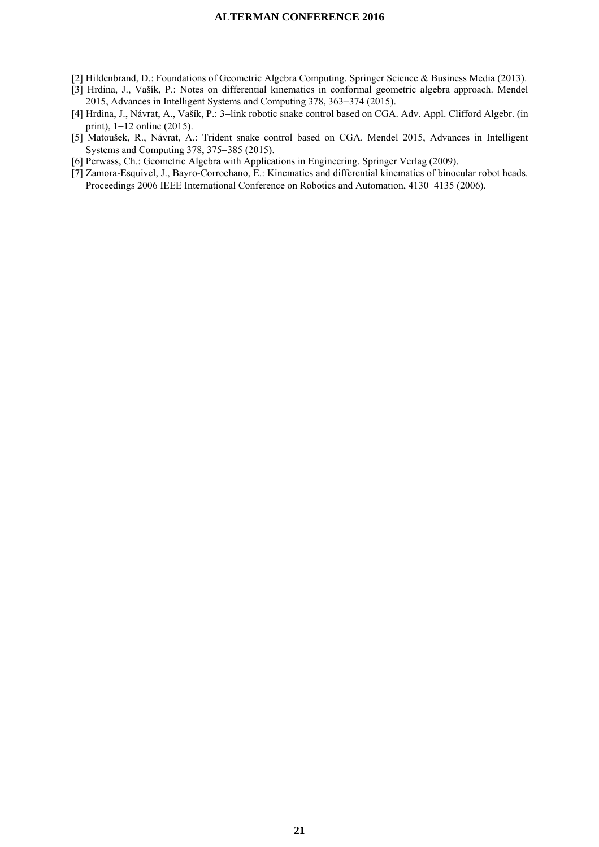- [2] Hildenbrand, D.: Foundations of Geometric Algebra Computing. Springer Science & Business Media (2013).
- [3] Hrdina, J., Vašík, P.: Notes on differential kinematics in conformal geometric algebra approach. Mendel 2015, Advances in Intelligent Systems and Computing 378, 363–374 (2015).
- [4] Hrdina, J., Návrat, A., Vašík, P.: 3-link robotic snake control based on CGA. Adv. Appl. Clifford Algebr. (in print),  $1-12$  online (2015).
- [5] Matoušek, R., Návrat, A.: Trident snake control based on CGA. Mendel 2015, Advances in Intelligent Systems and Computing 378, 375–385 (2015).
- [6] Perwass, Ch.: Geometric Algebra with Applications in Engineering. Springer Verlag (2009).
- [7] Zamora-Esquivel, J., Bayro-Corrochano, E.: Kinematics and differential kinematics of binocular robot heads. Proceedings 2006 IEEE International Conference on Robotics and Automation, 4130–4135 (2006).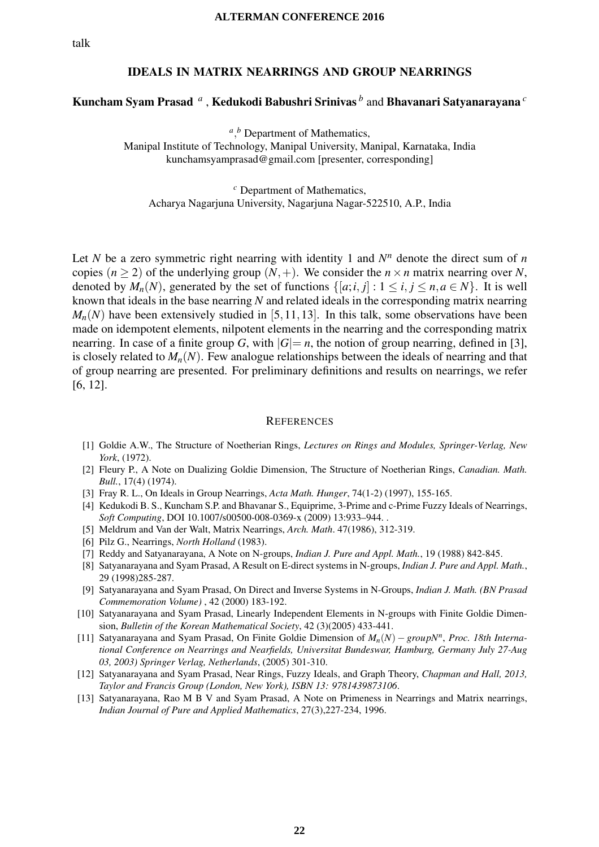## IDEALS IN MATRIX NEARRINGS AND GROUP NEARRINGS

## Kuncham Syam Prasad *<sup>a</sup>* , Kedukodi Babushri Srinivas *<sup>b</sup>* and Bhavanari Satyanarayana *<sup>c</sup>*

<sup>*a*</sup>,<sup>*b*</sup> Department of Mathematics, Manipal Institute of Technology, Manipal University, Manipal, Karnataka, India kunchamsyamprasad@gmail.com [presenter, corresponding]

*<sup>c</sup>* Department of Mathematics, Acharya Nagarjuna University, Nagarjuna Nagar-522510, A.P., India

Let *N* be a zero symmetric right nearring with identity 1 and  $N<sup>n</sup>$  denote the direct sum of *n* copies  $(n \geq 2)$  of the underlying group  $(N, +)$ . We consider the  $n \times n$  matrix nearring over *N*, denoted by  $M_n(N)$ , generated by the set of functions  $\{[a; i, j] : 1 \le i, j \le n, a \in N\}$ . It is well known that ideals in the base nearring *N* and related ideals in the corresponding matrix nearring  $M_n(N)$  have been extensively studied in [5,11,13]. In this talk, some observations have been made on idempotent elements, nilpotent elements in the nearring and the corresponding matrix nearring. In case of a finite group *G*, with  $|G|=n$ , the notion of group nearring, defined in [3], is closely related to  $M_n(N)$ . Few analogue relationships between the ideals of nearring and that of group nearring are presented. For preliminary definitions and results on nearrings, we refer [6, 12].

- [1] Goldie A.W., The Structure of Noetherian Rings, *Lectures on Rings and Modules, Springer-Verlag, New York*, (1972).
- [2] Fleury P., A Note on Dualizing Goldie Dimension, The Structure of Noetherian Rings, *Canadian. Math. Bull.*, 17(4) (1974).
- [3] Fray R. L., On Ideals in Group Nearrings, *Acta Math. Hunger*, 74(1-2) (1997), 155-165.
- [4] Kedukodi B. S., Kuncham S.P. and Bhavanar S., Equiprime, 3-Prime and c-Prime Fuzzy Ideals of Nearrings, *Soft Computing*, DOI 10.1007/s00500-008-0369-x (2009) 13:933–944. .
- [5] Meldrum and Van der Walt, Matrix Nearrings, *Arch. Math*. 47(1986), 312-319.
- [6] Pilz G., Nearrings, *North Holland* (1983).
- [7] Reddy and Satyanarayana, A Note on N-groups, *Indian J. Pure and Appl. Math.*, 19 (1988) 842-845.
- [8] Satyanarayana and Syam Prasad, A Result on E-direct systems in N-groups, *Indian J. Pure and Appl. Math.*, 29 (1998)285-287.
- [9] Satyanarayana and Syam Prasad, On Direct and Inverse Systems in N-Groups, *Indian J. Math. (BN Prasad Commemoration Volume)* , 42 (2000) 183-192.
- [10] Satyanarayana and Syam Prasad, Linearly Independent Elements in N-groups with Finite Goldie Dimension, *Bulletin of the Korean Mathematical Society*, 42 (3)(2005) 433-441.
- [11] Satyanarayana and Syam Prasad, On Finite Goldie Dimension of *Mn*(*N*) <sup>−</sup> *groupNn*, *Proc. 18th International Conference on Nearrings and Nearfields, Universitat Bundeswar, Hamburg, Germany July 27-Aug 03, 2003) Springer Verlag, Netherlands*, (2005) 301-310.
- [12] Satyanarayana and Syam Prasad, Near Rings, Fuzzy Ideals, and Graph Theory, *Chapman and Hall, 2013, Taylor and Francis Group (London, New York), ISBN 13: 9781439873106*.
- [13] Satyanarayana, Rao M B V and Syam Prasad, A Note on Primeness in Nearrings and Matrix nearrings, *Indian Journal of Pure and Applied Mathematics*, 27(3),227-234, 1996.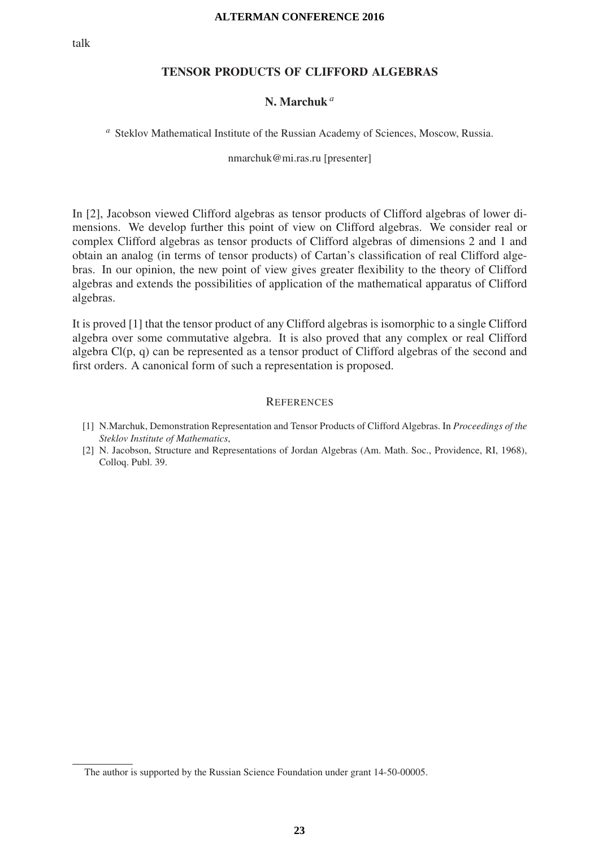## TENSOR PRODUCTS OF CLIFFORD ALGEBRAS

#### N. Marchuk *a*

*<sup>a</sup>* Steklov Mathematical Institute of the Russian Academy of Sciences, Moscow, Russia.

nmarchuk@mi.ras.ru [presenter]

In [2], Jacobson viewed Clifford algebras as tensor products of Clifford algebras of lower dimensions. We develop further this point of view on Clifford algebras. We consider real or complex Clifford algebras as tensor products of Clifford algebras of dimensions 2 and 1 and obtain an analog (in terms of tensor products) of Cartan's classification of real Clifford algebras. In our opinion, the new point of view gives greater flexibility to the theory of Clifford algebras and extends the possibilities of application of the mathematical apparatus of Clifford algebras.

It is proved [1] that the tensor product of any Clifford algebras is isomorphic to a single Clifford algebra over some commutative algebra. It is also proved that any complex or real Clifford algebra  $Cl(p, q)$  can be represented as a tensor product of Clifford algebras of the second and first orders. A canonical form of such a representation is proposed.

- [1] N.Marchuk, Demonstration Representation and Tensor Products of Clifford Algebras. In *Proceedings of the Steklov Institute of Mathematics*,
- [2] N. Jacobson, Structure and Representations of Jordan Algebras (Am. Math. Soc., Providence, RI, 1968), Colloq. Publ. 39.

The author is supported by the Russian Science Foundation under grant 14-50-00005.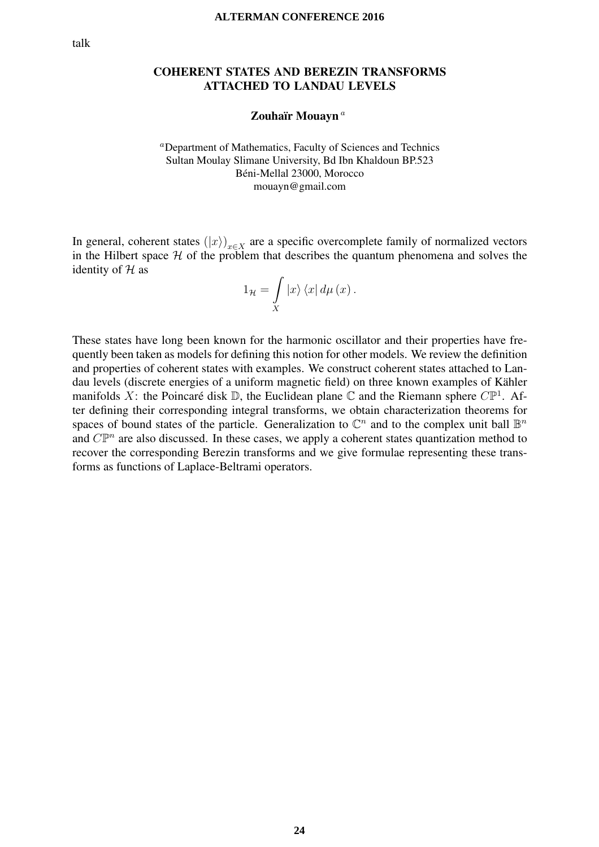## COHERENT STATES AND BEREZIN TRANSFORMS ATTACHED TO LANDAU LEVELS

Zouhaïr Mouayn<sup>a</sup>

<sup>a</sup>Department of Mathematics, Faculty of Sciences and Technics Sultan Moulay Slimane University, Bd Ibn Khaldoun BP.523 Beni-Mellal 23000, Morocco ´ mouayn@gmail.com

In general, coherent states  $(|x\rangle)_{x\in X}$  are a specific overcomplete family of normalized vectors in the Hilbert space  $H$  of the problem that describes the quantum phenomena and solves the identity of  $H$  as

$$
1_{\mathcal{H}} = \int\limits_X \left| x \right\rangle \left\langle x \right| d\mu \left( x \right).
$$

These states have long been known for the harmonic oscillator and their properties have frequently been taken as models for defining this notion for other models. We review the definition and properties of coherent states with examples. We construct coherent states attached to Landau levels (discrete energies of a uniform magnetic field) on three known examples of Kähler manifolds X: the Poincaré disk  $\mathbb D$ , the Euclidean plane  $\mathbb C$  and the Riemann sphere  $C\mathbb P^1$ . After defining their corresponding integral transforms, we obtain characterization theorems for spaces of bound states of the particle. Generalization to  $\mathbb{C}^n$  and to the complex unit ball  $\mathbb{B}^n$ and  $C\mathbb{P}^n$  are also discussed. In these cases, we apply a coherent states quantization method to recover the corresponding Berezin transforms and we give formulae representing these transforms as functions of Laplace-Beltrami operators.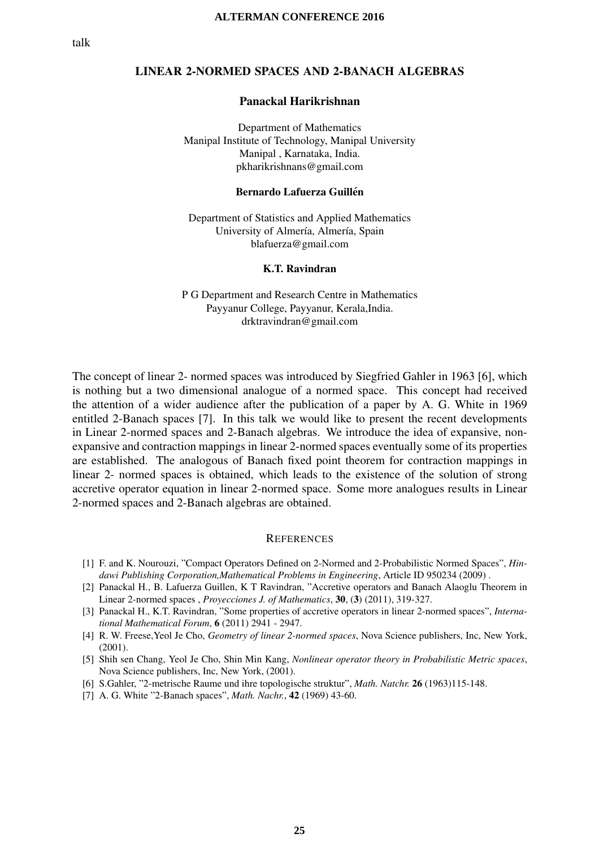## LINEAR 2-NORMED SPACES AND 2-BANACH ALGEBRAS

### Panackal Harikrishnan

Department of Mathematics Manipal Institute of Technology, Manipal University Manipal , Karnataka, India. pkharikrishnans@gmail.com

#### Bernardo Lafuerza Guillén

Department of Statistics and Applied Mathematics University of Almería, Almería, Spain blafuerza@gmail.com

#### K.T. Ravindran

P G Department and Research Centre in Mathematics Payyanur College, Payyanur, Kerala,India. drktravindran@gmail.com

The concept of linear 2- normed spaces was introduced by Siegfried Gahler in 1963 [6], which is nothing but a two dimensional analogue of a normed space. This concept had received the attention of a wider audience after the publication of a paper by A. G. White in 1969 entitled 2-Banach spaces [7]. In this talk we would like to present the recent developments in Linear 2-normed spaces and 2-Banach algebras. We introduce the idea of expansive, nonexpansive and contraction mappings in linear 2-normed spaces eventually some of its properties are established. The analogous of Banach fixed point theorem for contraction mappings in linear 2- normed spaces is obtained, which leads to the existence of the solution of strong accretive operator equation in linear 2-normed space. Some more analogues results in Linear 2-normed spaces and 2-Banach algebras are obtained.

- [1] F. and K. Nourouzi, "Compact Operators Defined on 2-Normed and 2-Probabilistic Normed Spaces", *Hindawi Publishing Corporation,Mathematical Problems in Engineering*, Article ID 950234 (2009) .
- [2] Panackal H., B. Lafuerza Guillen, K T Ravindran, "Accretive operators and Banach Alaoglu Theorem in Linear 2-normed spaces , *Proyecciones J. of Mathematics*, 30, (3) (2011), 319-327.
- [3] Panackal H., K.T. Ravindran, "Some properties of accretive operators in linear 2-normed spaces", *International Mathematical Forum*, 6 (2011) 2941 - 2947.
- [4] R. W. Freese,Yeol Je Cho, *Geometry of linear 2-normed spaces*, Nova Science publishers, Inc, New York, (2001).
- [5] Shih sen Chang, Yeol Je Cho, Shin Min Kang, *Nonlinear operator theory in Probabilistic Metric spaces*, Nova Science publishers, Inc, New York, (2001).
- [6] S.Gahler, "2-metrische Raume und ihre topologische struktur", *Math. Natchr.* 26 (1963)115-148.
- [7] A. G. White "2-Banach spaces", *Math. Nachr.*, 42 (1969) 43-60.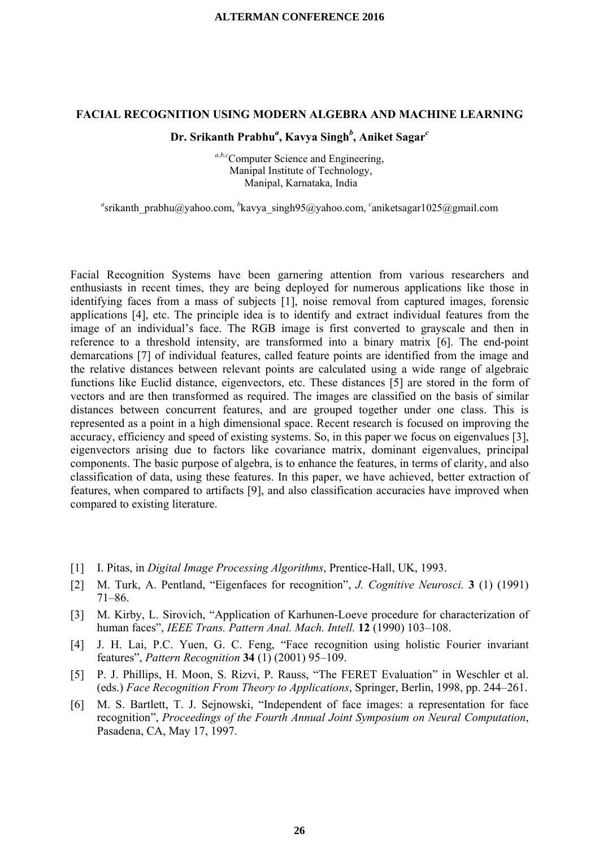#### **FACIAL RECOGNITION USING MODERN ALGEBRA AND MACHINE LEARNING**

## **Dr. Srikanth Prabhu***<sup>a</sup>* **, Kavya Singh***<sup>b</sup>* **, Aniket Sagar***<sup>c</sup>*

*a,b,c*Computer Science and Engineering, Manipal Institute of Technology, Manipal, Karnataka, India

<sup>a</sup>srikanth\_prabhu@yahoo.com, <sup>b</sup>kavya\_singh95@yahoo.com, <sup>c</sup>aniketsagar1025@gmail.com

Facial Recognition Systems have been garnering attention from various researchers and enthusiasts in recent times, they are being deployed for numerous applications like those in identifying faces from a mass of subjects [1], noise removal from captured images, forensic applications [4], etc. The principle idea is to identify and extract individual features from the image of an individual's face. The RGB image is first converted to grayscale and then in reference to a threshold intensity, are transformed into a binary matrix [6]. The end-point demarcations [7] of individual features, called feature points are identified from the image and the relative distances between relevant points are calculated using a wide range of algebraic functions like Euclid distance, eigenvectors, etc. These distances [5] are stored in the form of vectors and are then transformed as required. The images are classified on the basis of similar distances between concurrent features, and are grouped together under one class. This is represented as a point in a high dimensional space. Recent research is focused on improving the accuracy, efficiency and speed of existing systems. So, in this paper we focus on eigenvalues [3], eigenvectors arising due to factors like covariance matrix, dominant eigenvalues, principal components. The basic purpose of algebra, is to enhance the features, in terms of clarity, and also classification of data, using these features. In this paper, we have achieved, better extraction of features, when compared to artifacts [9], and also classification accuracies have improved when compared to existing literature.

- [1] I. Pitas, in *Digital Image Processing Algorithms*, Prentice-Hall, UK, 1993.
- [2] M. Turk, A. Pentland, "Eigenfaces for recognition", *J. Cognitive Neurosci.* **3** (1) (1991) 71–86.
- [3] M. Kirby, L. Sirovich, "Application of Karhunen-Loeve procedure for characterization of human faces", *IEEE Trans. Pattern Anal. Mach. Intell.* **12** (1990) 103–108.
- [4] J. H. Lai, P.C. Yuen, G. C. Feng, "Face recognition using holistic Fourier invariant features", *Pattern Recognition* **34** (1) (2001) 95–109.
- [5] P. J. Phillips, H. Moon, S. Rizvi, P. Rauss, "The FERET Evaluation" in Weschler et al. (eds.) *Face Recognition From Theory to Applications*, Springer, Berlin, 1998, pp. 244–261.
- [6] M. S. Bartlett, T. J. Sejnowski, "Independent of face images: a representation for face recognition", *Proceedings of the Fourth Annual Joint Symposium on Neural Computation*, Pasadena, CA, May 17, 1997.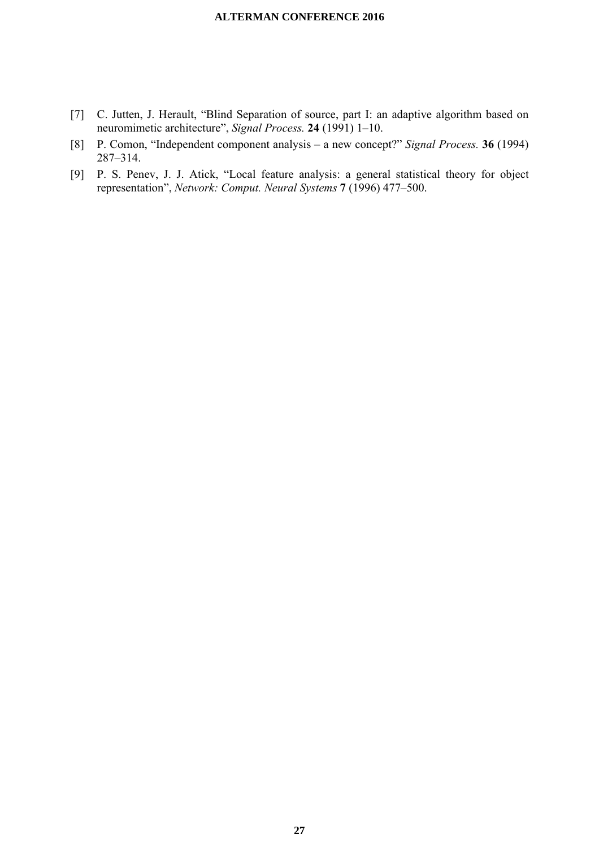- [7] C. Jutten, J. Herault, "Blind Separation of source, part I: an adaptive algorithm based on neuromimetic architecture", *Signal Process.* **24** (1991) 1–10.
- [8] P. Comon, "Independent component analysis a new concept?" *Signal Process.* **36** (1994) 287–314.
- [9] P. S. Penev, J. J. Atick, "Local feature analysis: a general statistical theory for object representation", *Network: Comput. Neural Systems* **7** (1996) 477–500.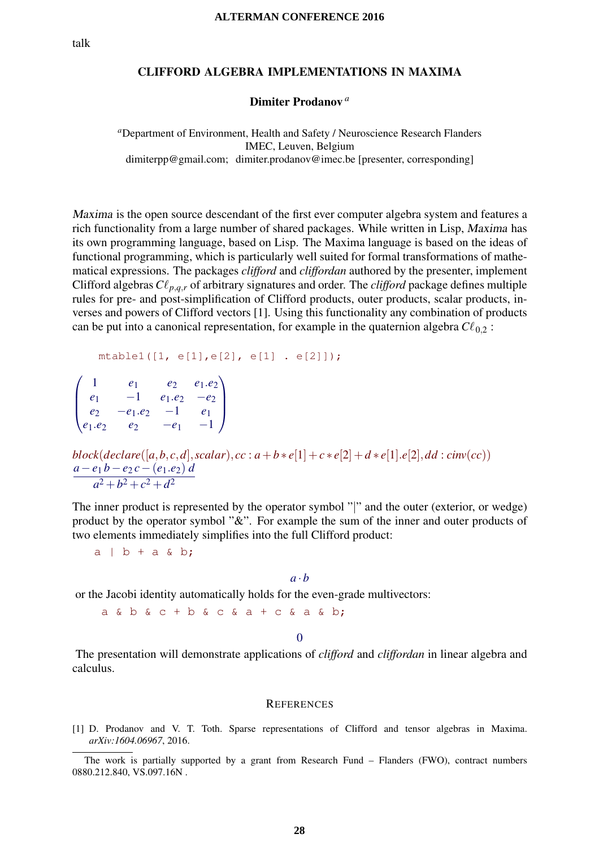## CLIFFORD ALGEBRA IMPLEMENTATIONS IN MAXIMA

#### Dimiter Prodanov *<sup>a</sup>*

*<sup>a</sup>*Department of Environment, Health and Safety / Neuroscience Research Flanders IMEC, Leuven, Belgium dimiterpp@gmail.com; dimiter.prodanov@imec.be [presenter, corresponding]

Maxima is the open source descendant of the first ever computer algebra system and features a rich functionality from a large number of shared packages. While written in Lisp, Maxima has its own programming language, based on Lisp. The Maxima language is based on the ideas of functional programming, which is particularly well suited for formal transformations of mathematical expressions. The packages *clifford* and *cliffordan* authored by the presenter, implement Clifford algebras  $C\ell_{p,q,r}$  of arbitrary signatures and order. The *clifford* package defines multiple rules for pre- and post-simplification of Clifford products, outer products, scalar products, inverses and powers of Clifford vectors [1]. Using this functionality any combination of products can be put into a canonical representation, for example in the quaternion algebra  $C\ell_{0,2}$ :

```
mtable1([1, e[1],e[2], e[1] . e[2]]);
```
 $\sqrt{ }$  $\vert$ 1 *e*<sup>1</sup> *e*<sup>2</sup> *e*1.*e*<sup>2</sup> *<sup>e</sup>*<sup>1</sup> <sup>−</sup><sup>1</sup> *<sup>e</sup>*1.*e*<sup>2</sup> <sup>−</sup>*e*<sup>2</sup> *<sup>e</sup>*<sup>2</sup> <sup>−</sup>*e*1.*e*<sup>2</sup> <sup>−</sup><sup>1</sup> *<sup>e</sup>*<sup>1</sup> *<sup>e</sup>*1.*e*<sup>2</sup> *<sup>e</sup>*<sup>2</sup> <sup>−</sup>*e*<sup>1</sup> <sup>−</sup><sup>1</sup>  $\setminus$  $\Big\}$ 

*block*(*declare*([ $a, b, c, d$ ],*scalar*),  $cc : a + b * e[1] + c * e[2] + d * e[1].e[2], dd : cinv(cc))$  $a-e_1 b-e_2 c-(e_1.e_2) d$  $a^2 + b^2 + c^2 + d^2$ 

The inner product is represented by the operator symbol "|" and the outer (exterior, or wedge) product by the operator symbol "&". For example the sum of the inner and outer products of two elements immediately simplifies into the full Clifford product:

 $a \mid b + a \land b;$ 

## $a \cdot b$

or the Jacobi identity automatically holds for the even-grade multivectors:

 $a \& b \& c + b \& c \& a + c \& a \& b$ ;

0

The presentation will demonstrate applications of *clifford* and *cliffordan* in linear algebra and calculus.

#### **REFERENCES**

[1] D. Prodanov and V. T. Toth. Sparse representations of Clifford and tensor algebras in Maxima. *arXiv:1604.06967*, 2016.

The work is partially supported by a grant from Research Fund – Flanders (FWO), contract numbers 0880.212.840, VS.097.16N .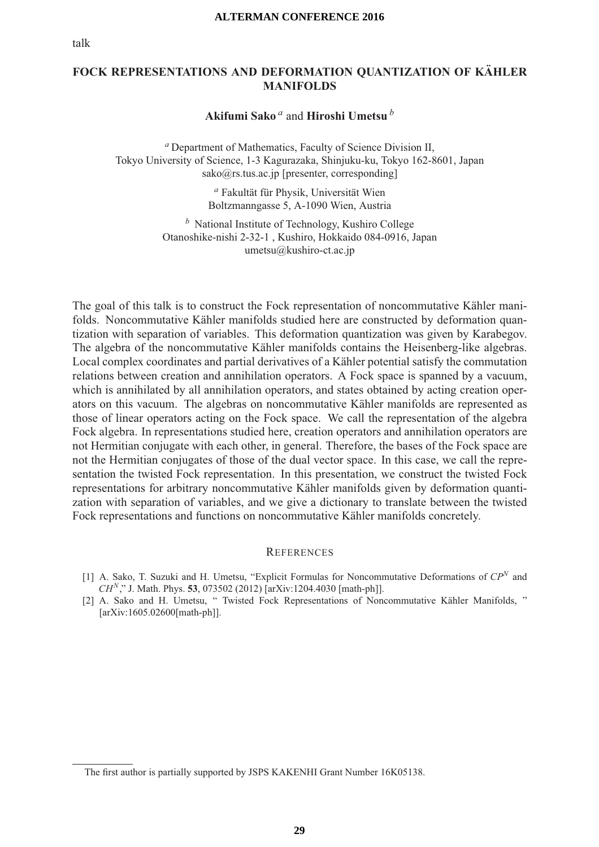## **FOCK REPRESENTATIONS AND DEFORMATION QUANTIZATION OF KAHLER ¨ MANIFOLDS**

## **Akifumi Sako** *<sup>a</sup>* and **Hiroshi Umetsu** *<sup>b</sup>*

*<sup>a</sup>* Department of Mathematics, Faculty of Science Division II, Tokyo University of Science, 1-3 Kagurazaka, Shinjuku-ku, Tokyo 162-8601, Japan sako@rs.tus.ac.jp [presenter, corresponding]

> <sup>a</sup> Fakultät für Physik, Universität Wien Boltzmanngasse 5, A-1090 Wien, Austria

*<sup>b</sup>* National Institute of Technology, Kushiro College Otanoshike-nishi 2-32-1 , Kushiro, Hokkaido 084-0916, Japan umetsu@kushiro-ct.ac.jp

The goal of this talk is to construct the Fock representation of noncommutative Kähler manifolds. Noncommutative Kähler manifolds studied here are constructed by deformation quantization with separation of variables. This deformation quantization was given by Karabegov. The algebra of the noncommutative Kähler manifolds contains the Heisenberg-like algebras. Local complex coordinates and partial derivatives of a Kähler potential satisfy the commutation relations between creation and annihilation operators. A Fock space is spanned by a vacuum, which is annihilated by all annihilation operators, and states obtained by acting creation operators on this vacuum. The algebras on noncommutative Kähler manifolds are represented as those of linear operators acting on the Fock space. We call the representation of the algebra Fock algebra. In representations studied here, creation operators and annihilation operators are not Hermitian conjugate with each other, in general. Therefore, the bases of the Fock space are not the Hermitian conjugates of those of the dual vector space. In this case, we call the representation the twisted Fock representation. In this presentation, we construct the twisted Fock representations for arbitrary noncommutative Kähler manifolds given by deformation quantization with separation of variables, and we give a dictionary to translate between the twisted Fock representations and functions on noncommutative Kähler manifolds concretely.

- [1] A. Sako, T. Suzuki and H. Umetsu, "Explicit Formulas for Noncommutative Deformations of *CPN* and *CHN*," J. Math. Phys. **53**, 073502 (2012) [arXiv:1204.4030 [math-ph]].
- [2] A. Sako and H. Umetsu, " Twisted Fock Representations of Noncommutative Kähler Manifolds, " [arXiv:1605.02600[math-ph]].

The first author is partially supported by JSPS KAKENHI Grant Number 16K05138.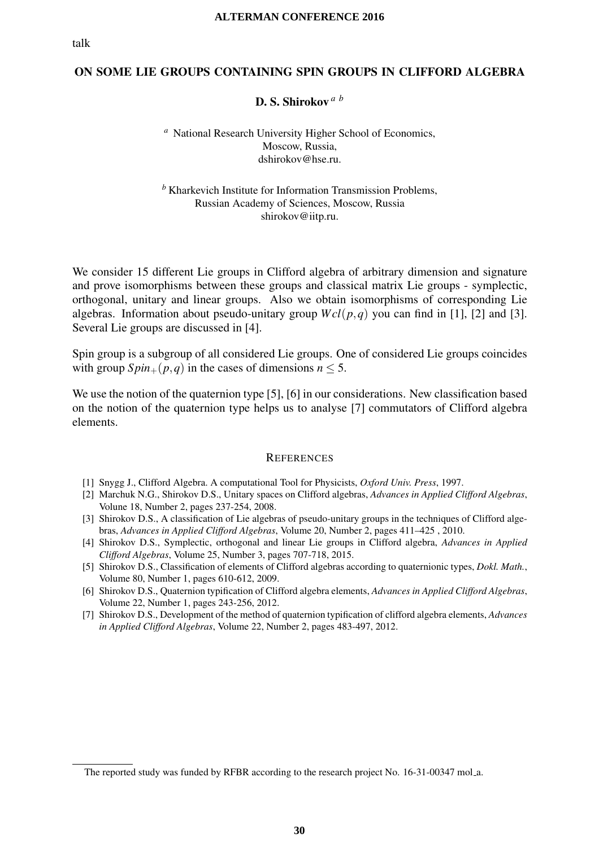## ON SOME LIE GROUPS CONTAINING SPIN GROUPS IN CLIFFORD ALGEBRA

## D. S. Shirokov *a b*

*<sup>a</sup>* National Research University Higher School of Economics, Moscow, Russia, dshirokov@hse.ru.

*<sup>b</sup>* Kharkevich Institute for Information Transmission Problems, Russian Academy of Sciences, Moscow, Russia shirokov@iitp.ru.

We consider 15 different Lie groups in Clifford algebra of arbitrary dimension and signature and prove isomorphisms between these groups and classical matrix Lie groups - symplectic, orthogonal, unitary and linear groups. Also we obtain isomorphisms of corresponding Lie algebras. Information about pseudo-unitary group  $Wcl(p,q)$  you can find in [1], [2] and [3]. Several Lie groups are discussed in [4].

Spin group is a subgroup of all considered Lie groups. One of considered Lie groups coincides with group  $Spin_{+}(p,q)$  in the cases of dimensions  $n \leq 5$ .

We use the notion of the quaternion type [5], [6] in our considerations. New classification based on the notion of the quaternion type helps us to analyse [7] commutators of Clifford algebra elements.

- [1] Snygg J., Clifford Algebra. A computational Tool for Physicists, *Oxford Univ. Press*, 1997.
- [2] Marchuk N.G., Shirokov D.S., Unitary spaces on Clifford algebras, *Advances in Applied Clifford Algebras*, Volune 18, Number 2, pages 237-254, 2008.
- [3] Shirokov D.S., A classification of Lie algebras of pseudo-unitary groups in the techniques of Clifford algebras, *Advances in Applied Clifford Algebras*, Volume 20, Number 2, pages 411–425 , 2010.
- [4] Shirokov D.S., Symplectic, orthogonal and linear Lie groups in Clifford algebra, *Advances in Applied Clifford Algebras*, Volume 25, Number 3, pages 707-718, 2015.
- [5] Shirokov D.S., Classification of elements of Clifford algebras according to quaternionic types, *Dokl. Math.*, Volume 80, Number 1, pages 610-612, 2009.
- [6] Shirokov D.S., Quaternion typification of Clifford algebra elements, *Advances in Applied Clifford Algebras*, Volume 22, Number 1, pages 243-256, 2012.
- [7] Shirokov D.S., Development of the method of quaternion typification of clifford algebra elements, *Advances in Applied Clifford Algebras*, Volume 22, Number 2, pages 483-497, 2012.

The reported study was funded by RFBR according to the research project No. 16-31-00347 mol.a.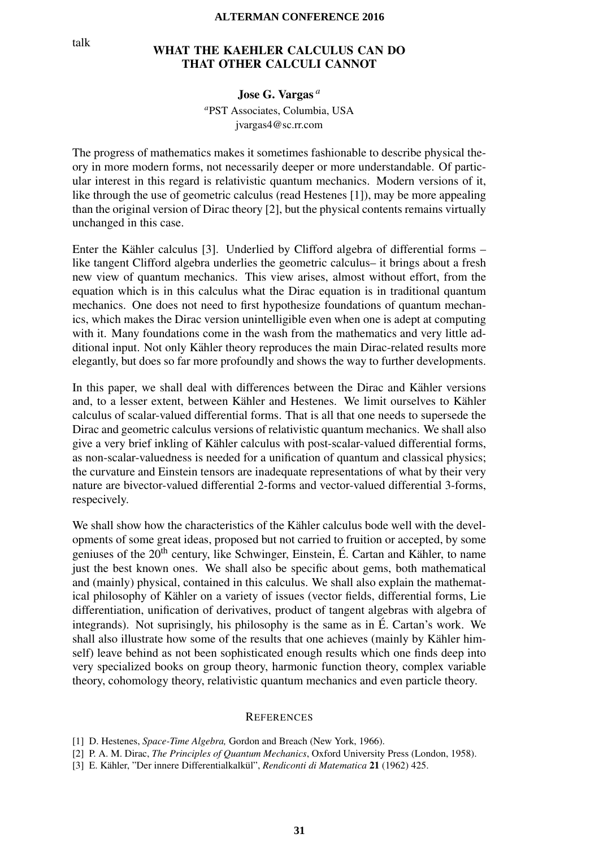## WHAT THE KAEHLER CALCULUS CAN DO<br>THAT OTHER CALCULI CANNOT THAT OTHER CALCULI CANNOT

Jose G. Vargas *<sup>a</sup>*

*<sup>a</sup>*PST Associates, Columbia, USA jvargas4@sc.rr.com

The progress of mathematics makes it sometimes fashionable to describe physical theory in more modern forms, not necessarily deeper or more understandable. Of particular interest in this regard is relativistic quantum mechanics. Modern versions of it, like through the use of geometric calculus (read Hestenes [1]), may be more appealing than the original version of Dirac theory [2], but the physical contents remains virtually unchanged in this case.

Enter the Kähler calculus [3]. Underlied by Clifford algebra of differential forms – like tangent Clifford algebra underlies the geometric calculus– it brings about a fresh new view of quantum mechanics. This view arises, almost without effort, from the equation which is in this calculus what the Dirac equation is in traditional quantum mechanics. One does not need to first hypothesize foundations of quantum mechanics, which makes the Dirac version unintelligible even when one is adept at computing with it. Many foundations come in the wash from the mathematics and very little additional input. Not only Kähler theory reproduces the main Dirac-related results more elegantly, but does so far more profoundly and shows the way to further developments.

In this paper, we shall deal with differences between the Dirac and Kähler versions and, to a lesser extent, between Kähler and Hestenes. We limit ourselves to Kähler calculus of scalar-valued differential forms. That is all that one needs to supersede the Dirac and geometric calculus versions of relativistic quantum mechanics. We shall also give a very brief inkling of Kähler calculus with post-scalar-valued differential forms, as non-scalar-valuedness is needed for a unification of quantum and classical physics; the curvature and Einstein tensors are inadequate representations of what by their very nature are bivector-valued differential 2-forms and vector-valued differential 3-forms, respecively.

We shall show how the characteristics of the Kähler calculus bode well with the developments of some great ideas, proposed but not carried to fruition or accepted, by some geniuses of the  $20<sup>th</sup>$  century, like Schwinger, Einstein, É. Cartan and Kähler, to name just the best known ones. We shall also be specific about gems, both mathematical and (mainly) physical, contained in this calculus. We shall also explain the mathematical philosophy of Kähler on a variety of issues (vector fields, differential forms, Lie differentiation, unification of derivatives, product of tangent algebras with algebra of integrands). Not suprisingly, his philosophy is the same as in E. Cartan's work. We ´ shall also illustrate how some of the results that one achieves (mainly by Kähler himself) leave behind as not been sophisticated enough results which one finds deep into very specialized books on group theory, harmonic function theory, complex variable theory, cohomology theory, relativistic quantum mechanics and even particle theory.

#### **REFERENCES**

- [1] D. Hestenes, *Space-Time Algebra,* Gordon and Breach (New York, 1966).
- [2] P. A. M. Dirac, *The Principles of Quantum Mechanics*, Oxford University Press (London, 1958).
- [3] E. Kähler, "Der innere Differentialkalkül", *Rendiconti di Matematica* 21 (1962) 425.

talk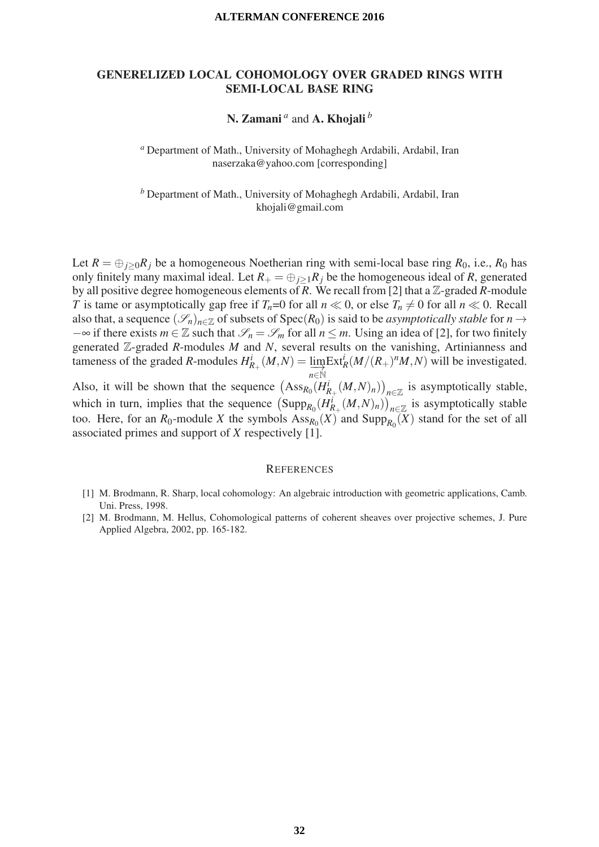## GENERELIZED LOCAL COHOMOLOGY OVER GRADED RINGS WITH SEMI-LOCAL BASE RING

## N. Zamani *<sup>a</sup>* and A. Khojali *<sup>b</sup>*

*<sup>a</sup>* Department of Math., University of Mohaghegh Ardabili, Ardabil, Iran naserzaka@yahoo.com [corresponding]

*<sup>b</sup>* Department of Math., University of Mohaghegh Ardabili, Ardabil, Iran khojali@gmail.com

Let  $R = \bigoplus_{j>0} R_j$  be a homogeneous Noetherian ring with semi-local base ring  $R_0$ , i.e.,  $R_0$  has only finitely many maximal ideal. Let  $R_+ = \bigoplus_{j>1} R_j$  be the homogeneous ideal of R, generated by all positive degree homogeneous elements of *R*. We recall from [2] that a Z-graded *R*-module *T* is tame or asymptotically gap free if  $T_n=0$  for all  $n \ll 0$ , or else  $T_n \neq 0$  for all  $n \ll 0$ . Recall also that, a sequence  $(\mathscr{S}_n)_{n \in \mathbb{Z}}$  of subsets of Spec( $R_0$ ) is said to be *asymptotically stable* for  $n \to \infty$  $-\infty$  if there exists *m* ∈ Z such that  $\mathscr{S}_n = \mathscr{S}_m$  for all *n* ≤ *m*. Using an idea of [2], for two finitely generated Z-graded *R*-modules *M* and *N*, several results on the vanishing, Artinianness and tameness of the graded *R*-modules  $H_{R_+}^i(M, N) = \lim_{n \in \mathbb{N}} \text{Ext}_R^i(M/(R_+)^n M, N)$  will be investigated.

Also, it will be shown that the sequence  $(Ass_{R_0}(H^i_{R_+}(M,N)_n))_{n\in\mathbb{Z}}$  is asymptotically stable, which in turn, implies that the sequence  $(\text{Supp}_{R_0}(H_{R_+}^i(M,N)_n))_{n\in\mathbb{Z}}$  is asymptotically stable too. Here, for an  $R_0$ -module *X* the symbols  $Ass_{R_0}(X)$  and  $Supp_{R_0}(X)$  stand for the set of all associated primes and support of *X* respectively [1].

- [1] M. Brodmann, R. Sharp, local cohomology: An algebraic introduction with geometric applications, Camb. Uni. Press, 1998.
- [2] M. Brodmann, M. Hellus, Cohomological patterns of coherent sheaves over projective schemes, J. Pure Applied Algebra, 2002, pp. 165-182.